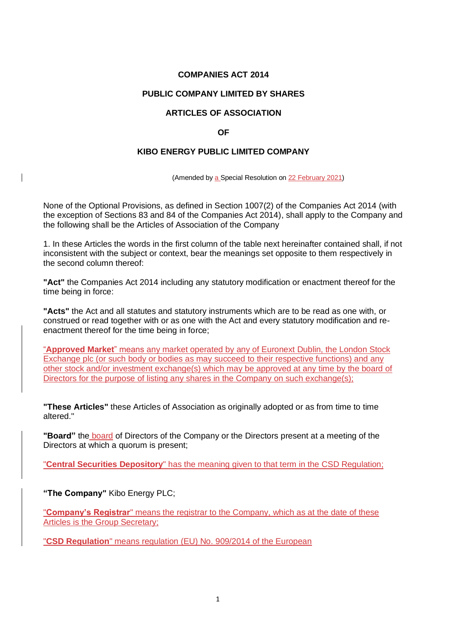## **COMPANIES ACT 2014**

### **PUBLIC COMPANY LIMITED BY SHARES**

## **ARTICLES OF ASSOCIATION**

### **OF**

#### **KIBO ENERGY PUBLIC LIMITED COMPANY**

(Amended by a Special Resolution on 22 February 2021)

None of the Optional Provisions, as defined in Section 1007(2) of the Companies Act 2014 (with the exception of Sections 83 and 84 of the Companies Act 2014), shall apply to the Company and the following shall be the Articles of Association of the Company

1. In these Articles the words in the first column of the table next hereinafter contained shall, if not inconsistent with the subject or context, bear the meanings set opposite to them respectively in the second column thereof:

**"Act"** the Companies Act 2014 including any statutory modification or enactment thereof for the time being in force:

**"Acts"** the Act and all statutes and statutory instruments which are to be read as one with, or construed or read together with or as one with the Act and every statutory modification and reenactment thereof for the time being in force;

"**Approved Market**" means any market operated by any of Euronext Dublin, the London Stock Exchange plc (or such body or bodies as may succeed to their respective functions) and any other stock and/or investment exchange(s) which may be approved at any time by the board of Directors for the purpose of listing any shares in the Company on such exchange(s);

**"These Articles"** these Articles of Association as originally adopted or as from time to time altered."

**"Board"** the board of Directors of the Company or the Directors present at a meeting of the Directors at which a quorum is present;

"**Central Securities Depository**" has the meaning given to that term in the CSD Regulation;

**"The Company"** Kibo Energy PLC;

 $\mathsf{l}$ 

"**Company's Registrar**" means the registrar to the Company, which as at the date of these Articles is the Group Secretary;

"**CSD Regulation**" means regulation (EU) No. 909/2014 of the European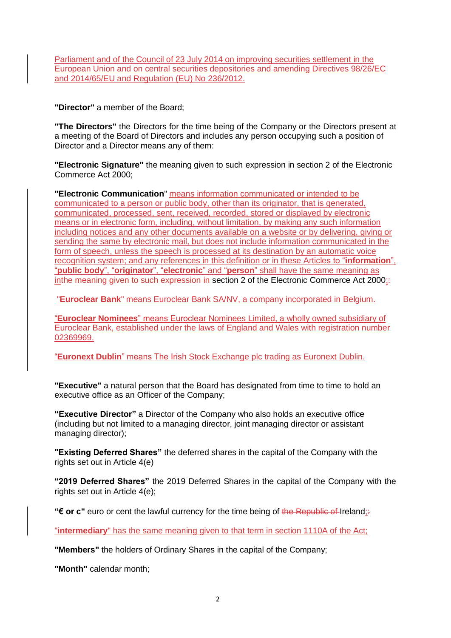Parliament and of the Council of 23 July 2014 on improving securities settlement in the European Union and on central securities depositories and amending Directives 98/26/EC and 2014/65/EU and Regulation (EU) No 236/2012.

**"Director"** a member of the Board;

**"The Directors"** the Directors for the time being of the Company or the Directors present at a meeting of the Board of Directors and includes any person occupying such a position of Director and a Director means any of them:

**"Electronic Signature"** the meaning given to such expression in section 2 of the Electronic Commerce Act 2000;

**"Electronic Communication**" means information communicated or intended to be communicated to a person or public body, other than its originator, that is generated, communicated, processed, sent, received, recorded, stored or displayed by electronic means or in electronic form, including, without limitation, by making any such information including notices and any other documents available on a website or by delivering, giving or sending the same by electronic mail, but does not include information communicated in the form of speech, unless the speech is processed at its destination by an automatic voice recognition system; and any references in this definition or in these Articles to "**information**", "**public body**", "**originator**", "**electronic**" and "**person**" shall have the same meaning as inthe meaning given to such expression in section 2 of the Electronic Commerce Act  $2000$ :

"**Euroclear Bank**" means Euroclear Bank SA/NV, a company incorporated in Belgium.

"**Euroclear Nominees**" means Euroclear Nominees Limited, a wholly owned subsidiary of Euroclear Bank, established under the laws of England and Wales with registration number 02369969.

"**Euronext Dublin**" means The Irish Stock Exchange plc trading as Euronext Dublin.

**"Executive"** a natural person that the Board has designated from time to time to hold an executive office as an Officer of the Company;

**"Executive Director"** a Director of the Company who also holds an executive office (including but not limited to a managing director, joint managing director or assistant managing director);

**"Existing Deferred Shares"** the deferred shares in the capital of the Company with the rights set out in Article 4(e)

**"2019 Deferred Shares"** the 2019 Deferred Shares in the capital of the Company with the rights set out in Article 4(e);

**"€ or c"** euro or cent the lawful currency for the time being of the Republic of Ireland;:

"**intermediary**" has the same meaning given to that term in section 1110A of the Act;

**"Members"** the holders of Ordinary Shares in the capital of the Company;

**"Month"** calendar month;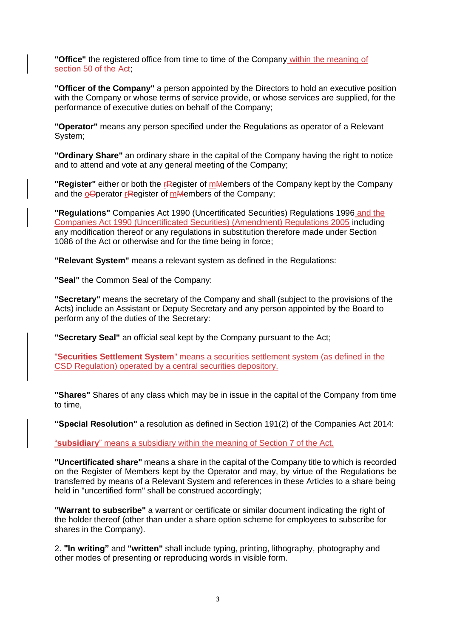**"Office"** the registered office from time to time of the Company within the meaning of section 50 of the Act;

**"Officer of the Company"** a person appointed by the Directors to hold an executive position with the Company or whose terms of service provide, or whose services are supplied, for the performance of executive duties on behalf of the Company;

**"Operator"** means any person specified under the Regulations as operator of a Relevant System;

**"Ordinary Share"** an ordinary share in the capital of the Company having the right to notice and to attend and vote at any general meeting of the Company;

**"Register"** either or both the rRegister of mMembers of the Company kept by the Company and the  $\Omega$ Operator rendered of mMembers of the Company;

**"Regulations"** Companies Act 1990 (Uncertificated Securities) Regulations 1996 and the Companies Act 1990 (Uncertificated Securities) (Amendment) Regulations 2005 including any modification thereof or any regulations in substitution therefore made under Section 1086 of the Act or otherwise and for the time being in force;

**"Relevant System"** means a relevant system as defined in the Regulations:

**"Seal"** the Common Seal of the Company:

**"Secretary"** means the secretary of the Company and shall (subject to the provisions of the Acts) include an Assistant or Deputy Secretary and any person appointed by the Board to perform any of the duties of the Secretary:

**"Secretary Seal"** an official seal kept by the Company pursuant to the Act;

"**Securities Settlement System**" means a securities settlement system (as defined in the CSD Regulation) operated by a central securities depository.

**"Shares"** Shares of any class which may be in issue in the capital of the Company from time to time,

**"Special Resolution"** a resolution as defined in Section 191(2) of the Companies Act 2014:

"**subsidiary**" means a subsidiary within the meaning of Section 7 of the Act.

**"Uncertificated share"** means a share in the capital of the Company title to which is recorded on the Register of Members kept by the Operator and may, by virtue of the Regulations be transferred by means of a Relevant System and references in these Articles to a share being held in "uncertified form" shall be construed accordingly;

**"Warrant to subscribe"** a warrant or certificate or similar document indicating the right of the holder thereof (other than under a share option scheme for employees to subscribe for shares in the Company).

2. **"In writing"** and **"written"** shall include typing, printing, lithography, photography and other modes of presenting or reproducing words in visible form.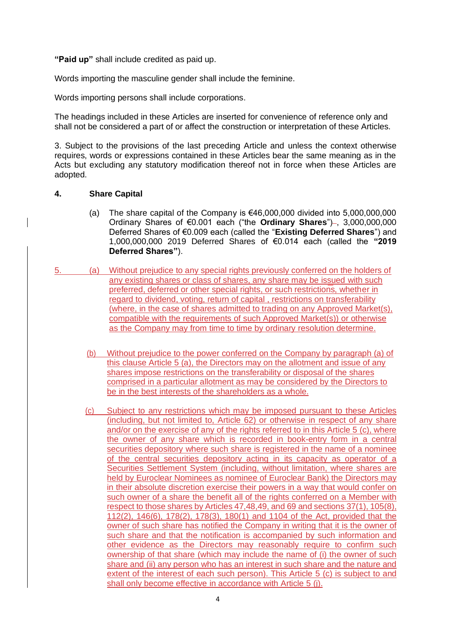**"Paid up"** shall include credited as paid up.

Words importing the masculine gender shall include the feminine.

Words importing persons shall include corporations.

The headings included in these Articles are inserted for convenience of reference only and shall not be considered a part of or affect the construction or interpretation of these Articles.

3. Subject to the provisions of the last preceding Article and unless the context otherwise requires, words or expressions contained in these Articles bear the same meaning as in the Acts but excluding any statutory modification thereof not in force when these Articles are adopted.

### **4. Share Capital**

- (a) The share capital of the Company is  $€46,000,000$  divided into  $5,000,000,000$ Ordinary Shares of €0.001 each ("the **Ordinary Shares**")-, 3,000,000,000 Deferred Shares of €0.009 each (called the "**Existing Deferred Shares**") and 1,000,000,000 2019 Deferred Shares of €0.014 each (called the **"2019 Deferred Shares"**).
- 5. (a) Without prejudice to any special rights previously conferred on the holders of any existing shares or class of shares, any share may be issued with such preferred, deferred or other special rights, or such restrictions, whether in regard to dividend, voting, return of capital , restrictions on transferability (where, in the case of shares admitted to trading on any Approved Market(s), compatible with the requirements of such Approved Market(s)) or otherwise as the Company may from time to time by ordinary resolution determine.
	- (b) Without prejudice to the power conferred on the Company by paragraph (a) of this clause Article 5 (a), the Directors may on the allotment and issue of any shares impose restrictions on the transferability or disposal of the shares comprised in a particular allotment as may be considered by the Directors to be in the best interests of the shareholders as a whole.
	- (c) Subject to any restrictions which may be imposed pursuant to these Articles (including, but not limited to, Article 62) or otherwise in respect of any share and/or on the exercise of any of the rights referred to in this Article 5 (c), where the owner of any share which is recorded in book-entry form in a central securities depository where such share is registered in the name of a nominee of the central securities depository acting in its capacity as operator of a Securities Settlement System (including, without limitation, where shares are held by Euroclear Nominees as nominee of Euroclear Bank) the Directors may in their absolute discretion exercise their powers in a way that would confer on such owner of a share the benefit all of the rights conferred on a Member with respect to those shares by Articles 47,48,49, and 69 and sections 37(1), 105(8), 112(2), 146(6), 178(2), 178(3), 180(1) and 1104 of the Act, provided that the owner of such share has notified the Company in writing that it is the owner of such share and that the notification is accompanied by such information and other evidence as the Directors may reasonably require to confirm such ownership of that share (which may include the name of (i) the owner of such share and (ii) any person who has an interest in such share and the nature and extent of the interest of each such person). This Article 5 (c) is subject to and shall only become effective in accordance with Article 5 (j).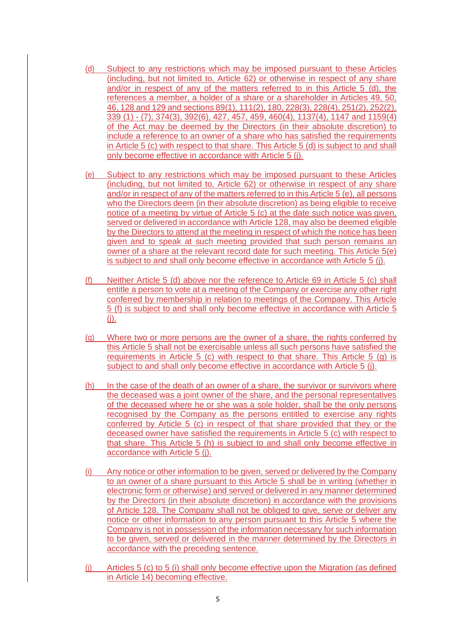- (d) Subject to any restrictions which may be imposed pursuant to these Articles (including, but not limited to, Article 62) or otherwise in respect of any share and/or in respect of any of the matters referred to in this Article 5 (d), the references a member, a holder of a share or a shareholder in Articles 49, 50, 46, 128 and 129 and sections 89(1), 111(2), 180, 228(3), 228(4), 251(2), 252(2), 339 (1) - (7), 374(3), 392(6), 427, 457, 459, 460(4), 1137(4), 1147 and 1159(4) of the Act may be deemed by the Directors (in their absolute discretion) to include a reference to an owner of a share who has satisfied the requirements in Article 5 (c) with respect to that share. This Article 5 (d) is subject to and shall only become effective in accordance with Article 5 (j).
- (e) Subject to any restrictions which may be imposed pursuant to these Articles (including, but not limited to, Article 62) or otherwise in respect of any share and/or in respect of any of the matters referred to in this Article 5 (e), all persons who the Directors deem (in their absolute discretion) as being eligible to receive notice of a meeting by virtue of Article 5 (c) at the date such notice was given, served or delivered in accordance with Article 128, may also be deemed eligible by the Directors to attend at the meeting in respect of which the notice has been given and to speak at such meeting provided that such person remains an owner of a share at the relevant record date for such meeting. This Article 5(e) is subject to and shall only become effective in accordance with Article 5 (j).
- (f) Neither Article 5 (d) above nor the reference to Article 69 in Article 5 (c) shall entitle a person to vote at a meeting of the Company or exercise any other right conferred by membership in relation to meetings of the Company. This Article 5 (f) is subject to and shall only become effective in accordance with Article 5 (j).
- (g) Where two or more persons are the owner of a share, the rights conferred by this Article 5 shall not be exercisable unless all such persons have satisfied the requirements in Article 5 (c) with respect to that share. This Article 5 (g) is subject to and shall only become effective in accordance with Article 5 (j).
- (h) In the case of the death of an owner of a share, the survivor or survivors where the deceased was a joint owner of the share, and the personal representatives of the deceased where he or she was a sole holder, shall be the only persons recognised by the Company as the persons entitled to exercise any rights conferred by Article 5 (c) in respect of that share provided that they or the deceased owner have satisfied the requirements in Article 5 (c) with respect to that share. This Article 5 (h) is subject to and shall only become effective in accordance with Article 5 (j).
- (i) Any notice or other information to be given, served or delivered by the Company to an owner of a share pursuant to this Article 5 shall be in writing (whether in electronic form or otherwise) and served or delivered in any manner determined by the Directors (in their absolute discretion) in accordance with the provisions of Article 128. The Company shall not be obliged to give, serve or deliver any notice or other information to any person pursuant to this Article 5 where the Company is not in possession of the information necessary for such information to be given, served or delivered in the manner determined by the Directors in accordance with the preceding sentence.
- (j) Articles 5 (c) to 5 (i) shall only become effective upon the Migration (as defined in Article 14) becoming effective.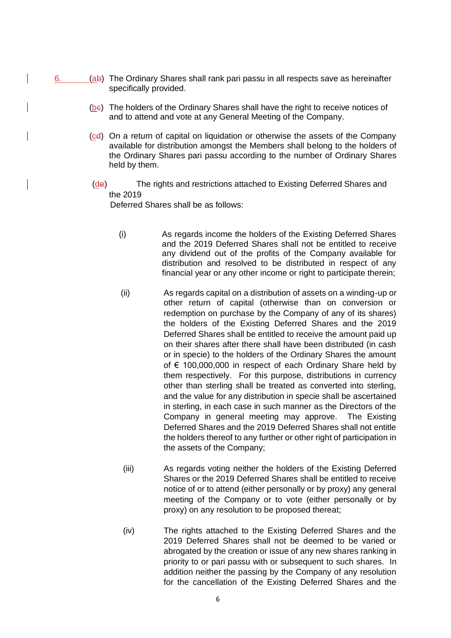- 6.  $(a\mathbf{b})$  The Ordinary Shares shall rank pari passu in all respects save as hereinafter specifically provided.
	- (bc) The holders of the Ordinary Shares shall have the right to receive notices of and to attend and vote at any General Meeting of the Company.
	- (cd) On a return of capital on liquidation or otherwise the assets of the Company available for distribution amongst the Members shall belong to the holders of the Ordinary Shares pari passu according to the number of Ordinary Shares held by them.
	- (de) The rights and restrictions attached to Existing Deferred Shares and the 2019

Deferred Shares shall be as follows:

- (i) As regards income the holders of the Existing Deferred Shares and the 2019 Deferred Shares shall not be entitled to receive any dividend out of the profits of the Company available for distribution and resolved to be distributed in respect of any financial year or any other income or right to participate therein;
- (ii) As regards capital on a distribution of assets on a winding-up or other return of capital (otherwise than on conversion or redemption on purchase by the Company of any of its shares) the holders of the Existing Deferred Shares and the 2019 Deferred Shares shall be entitled to receive the amount paid up on their shares after there shall have been distributed (in cash or in specie) to the holders of the Ordinary Shares the amount of € 100,000,000 in respect of each Ordinary Share held by them respectively. For this purpose, distributions in currency other than sterling shall be treated as converted into sterling, and the value for any distribution in specie shall be ascertained in sterling, in each case in such manner as the Directors of the Company in general meeting may approve. The Existing Deferred Shares and the 2019 Deferred Shares shall not entitle the holders thereof to any further or other right of participation in the assets of the Company;
- (iii) As regards voting neither the holders of the Existing Deferred Shares or the 2019 Deferred Shares shall be entitled to receive notice of or to attend (either personally or by proxy) any general meeting of the Company or to vote (either personally or by proxy) on any resolution to be proposed thereat;
- (iv) The rights attached to the Existing Deferred Shares and the 2019 Deferred Shares shall not be deemed to be varied or abrogated by the creation or issue of any new shares ranking in priority to or pari passu with or subsequent to such shares. In addition neither the passing by the Company of any resolution for the cancellation of the Existing Deferred Shares and the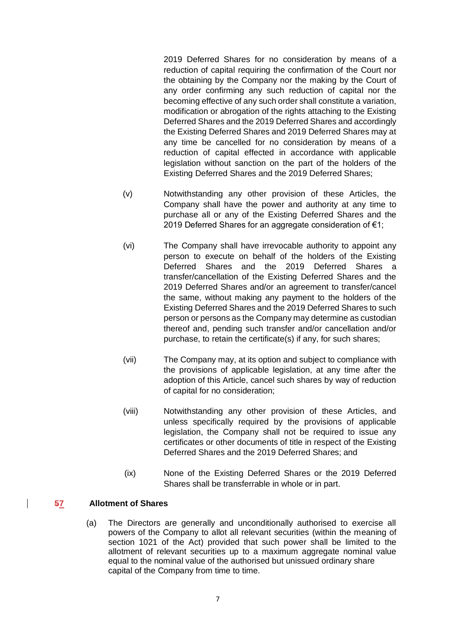2019 Deferred Shares for no consideration by means of a reduction of capital requiring the confirmation of the Court nor the obtaining by the Company nor the making by the Court of any order confirming any such reduction of capital nor the becoming effective of any such order shall constitute a variation, modification or abrogation of the rights attaching to the Existing Deferred Shares and the 2019 Deferred Shares and accordingly the Existing Deferred Shares and 2019 Deferred Shares may at any time be cancelled for no consideration by means of a reduction of capital effected in accordance with applicable legislation without sanction on the part of the holders of the Existing Deferred Shares and the 2019 Deferred Shares;

- (v) Notwithstanding any other provision of these Articles, the Company shall have the power and authority at any time to purchase all or any of the Existing Deferred Shares and the 2019 Deferred Shares for an aggregate consideration of €1:
- (vi) The Company shall have irrevocable authority to appoint any person to execute on behalf of the holders of the Existing Deferred Shares and the 2019 Deferred Shares a transfer/cancellation of the Existing Deferred Shares and the 2019 Deferred Shares and/or an agreement to transfer/cancel the same, without making any payment to the holders of the Existing Deferred Shares and the 2019 Deferred Shares to such person or persons as the Company may determine as custodian thereof and, pending such transfer and/or cancellation and/or purchase, to retain the certificate(s) if any, for such shares;
- (vii) The Company may, at its option and subject to compliance with the provisions of applicable legislation, at any time after the adoption of this Article, cancel such shares by way of reduction of capital for no consideration;
- (viii) Notwithstanding any other provision of these Articles, and unless specifically required by the provisions of applicable legislation, the Company shall not be required to issue any certificates or other documents of title in respect of the Existing Deferred Shares and the 2019 Deferred Shares; and
- (ix) None of the Existing Deferred Shares or the 2019 Deferred Shares shall be transferrable in whole or in part.

## **57 Allotment of Shares**

(a) The Directors are generally and unconditionally authorised to exercise all powers of the Company to allot all relevant securities (within the meaning of section 1021 of the Act) provided that such power shall be limited to the allotment of relevant securities up to a maximum aggregate nominal value equal to the nominal value of the authorised but unissued ordinary share capital of the Company from time to time.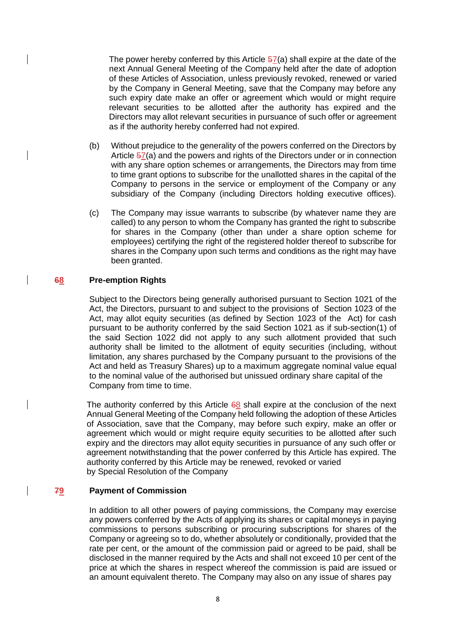The power hereby conferred by this Article  $57(a)$  shall expire at the date of the next Annual General Meeting of the Company held after the date of adoption of these Articles of Association, unless previously revoked, renewed or varied by the Company in General Meeting, save that the Company may before any such expiry date make an offer or agreement which would or might require relevant securities to be allotted after the authority has expired and the Directors may allot relevant securities in pursuance of such offer or agreement as if the authority hereby conferred had not expired.

- (b) Without prejudice to the generality of the powers conferred on the Directors by Article 57(a) and the powers and rights of the Directors under or in connection with any share option schemes or arrangements, the Directors may from time to time grant options to subscribe for the unallotted shares in the capital of the Company to persons in the service or employment of the Company or any subsidiary of the Company (including Directors holding executive offices).
- (c) The Company may issue warrants to subscribe (by whatever name they are called) to any person to whom the Company has granted the right to subscribe for shares in the Company (other than under a share option scheme for employees) certifying the right of the registered holder thereof to subscribe for shares in the Company upon such terms and conditions as the right may have been granted.

## **68 Pre-emption Rights**

Subject to the Directors being generally authorised pursuant to Section 1021 of the Act, the Directors, pursuant to and subject to the provisions of Section 1023 of the Act, may allot equity securities (as defined by Section 1023 of the Act) for cash pursuant to be authority conferred by the said Section 1021 as if sub-section(1) of the said Section 1022 did not apply to any such allotment provided that such authority shall be limited to the allotment of equity securities (including, without limitation, any shares purchased by the Company pursuant to the provisions of the Act and held as Treasury Shares) up to a maximum aggregate nominal value equal to the nominal value of the authorised but unissued ordinary share capital of the Company from time to time.

The authority conferred by this Article  $68$  shall expire at the conclusion of the next Annual General Meeting of the Company held following the adoption of these Articles of Association, save that the Company, may before such expiry, make an offer or agreement which would or might require equity securities to be allotted after such expiry and the directors may allot equity securities in pursuance of any such offer or agreement notwithstanding that the power conferred by this Article has expired. The authority conferred by this Article may be renewed, revoked or varied by Special Resolution of the Company

## **79 Payment of Commission**

In addition to all other powers of paying commissions, the Company may exercise any powers conferred by the Acts of applying its shares or capital moneys in paying commissions to persons subscribing or procuring subscriptions for shares of the Company or agreeing so to do, whether absolutely or conditionally, provided that the rate per cent, or the amount of the commission paid or agreed to be paid, shall be disclosed in the manner required by the Acts and shall not exceed 10 per cent of the price at which the shares in respect whereof the commission is paid are issued or an amount equivalent thereto. The Company may also on any issue of shares pay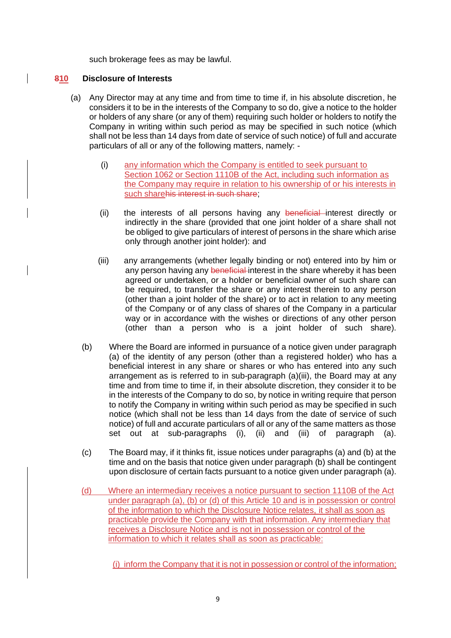such brokerage fees as may be lawful.

### **810 Disclosure of Interests**

- (a) Any Director may at any time and from time to time if, in his absolute discretion, he considers it to be in the interests of the Company to so do, give a notice to the holder or holders of any share (or any of them) requiring such holder or holders to notify the Company in writing within such period as may be specified in such notice (which shall not be less than 14 days from date of service of such notice) of full and accurate particulars of all or any of the following matters, namely: -
	- (i) any information which the Company is entitled to seek pursuant to Section 1062 or Section 1110B of the Act, including such information as the Company may require in relation to his ownership of or his interests in such sharehis interest in such share;
	- (ii) the interests of all persons having any beneficial interest directly or indirectly in the share (provided that one joint holder of a share shall not be obliged to give particulars of interest of persons in the share which arise only through another joint holder): and
	- (iii) any arrangements (whether legally binding or not) entered into by him or any person having any beneficial interest in the share whereby it has been agreed or undertaken, or a holder or beneficial owner of such share can be required, to transfer the share or any interest therein to any person (other than a joint holder of the share) or to act in relation to any meeting of the Company or of any class of shares of the Company in a particular way or in accordance with the wishes or directions of any other person (other than a person who is a joint holder of such share).
	- (b) Where the Board are informed in pursuance of a notice given under paragraph (a) of the identity of any person (other than a registered holder) who has a beneficial interest in any share or shares or who has entered into any such arrangement as is referred to in sub-paragraph (a)(iii), the Board may at any time and from time to time if, in their absolute discretion, they consider it to be in the interests of the Company to do so, by notice in writing require that person to notify the Company in writing within such period as may be specified in such notice (which shall not be less than 14 days from the date of service of such notice) of full and accurate particulars of all or any of the same matters as those set out at sub-paragraphs (i), (ii) and (iii) of paragraph (a).
	- (c) The Board may, if it thinks fit, issue notices under paragraphs (a) and (b) at the time and on the basis that notice given under paragraph (b) shall be contingent upon disclosure of certain facts pursuant to a notice given under paragraph (a).
	- (d) Where an intermediary receives a notice pursuant to section 1110B of the Act under paragraph (a), (b) or (d) of this Article 10 and is in possession or control of the information to which the Disclosure Notice relates, it shall as soon as practicable provide the Company with that information. Any intermediary that receives a Disclosure Notice and is not in possession or control of the information to which it relates shall as soon as practicable:

(i) inform the Company that it is not in possession or control of the information;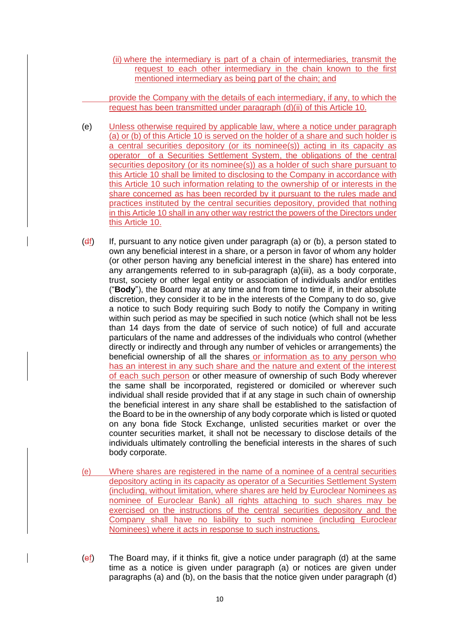(ii) where the intermediary is part of a chain of intermediaries, transmit the request to each other intermediary in the chain known to the first mentioned intermediary as being part of the chain; and

provide the Company with the details of each intermediary, if any, to which the request has been transmitted under paragraph (d)(ii) of this Article 10.

- (e) Unless otherwise required by applicable law, where a notice under paragraph (a) or (b) of this Article 10 is served on the holder of a share and such holder is a central securities depository (or its nominee(s)) acting in its capacity as operator of a Securities Settlement System, the obligations of the central securities depository (or its nominee(s)) as a holder of such share pursuant to this Article 10 shall be limited to disclosing to the Company in accordance with this Article 10 such information relating to the ownership of or interests in the share concerned as has been recorded by it pursuant to the rules made and practices instituted by the central securities depository, provided that nothing in this Article 10 shall in any other way restrict the powers of the Directors under this Article 10.
- $(df)$  If, pursuant to any notice given under paragraph (a) or (b), a person stated to own any beneficial interest in a share, or a person in favor of whom any holder (or other person having any beneficial interest in the share) has entered into any arrangements referred to in sub-paragraph (a)(iii), as a body corporate, trust, society or other legal entity or association of individuals and/or entitles ("**Body**"), the Board may at any time and from time to time if, in their absolute discretion, they consider it to be in the interests of the Company to do so, give a notice to such Body requiring such Body to notify the Company in writing within such period as may be specified in such notice (which shall not be less than 14 days from the date of service of such notice) of full and accurate particulars of the name and addresses of the individuals who control (whether directly or indirectly and through any number of vehicles or arrangements) the beneficial ownership of all the shares or information as to any person who has an interest in any such share and the nature and extent of the interest of each such person or other measure of ownership of such Body wherever the same shall be incorporated, registered or domiciled or wherever such individual shall reside provided that if at any stage in such chain of ownership the beneficial interest in any share shall be established to the satisfaction of the Board to be in the ownership of any body corporate which is listed or quoted on any bona fide Stock Exchange, unlisted securities market or over the counter securities market, it shall not be necessary to disclose details of the individuals ultimately controlling the beneficial interests in the shares of such body corporate.
- (e) Where shares are registered in the name of a nominee of a central securities depository acting in its capacity as operator of a Securities Settlement System (including, without limitation, where shares are held by Euroclear Nominees as nominee of Euroclear Bank) all rights attaching to such shares may be exercised on the instructions of the central securities depository and the Company shall have no liability to such nominee (including Euroclear Nominees) where it acts in response to such instructions.
- (ef) The Board may, if it thinks fit, give a notice under paragraph (d) at the same time as a notice is given under paragraph (a) or notices are given under paragraphs (a) and (b), on the basis that the notice given under paragraph (d)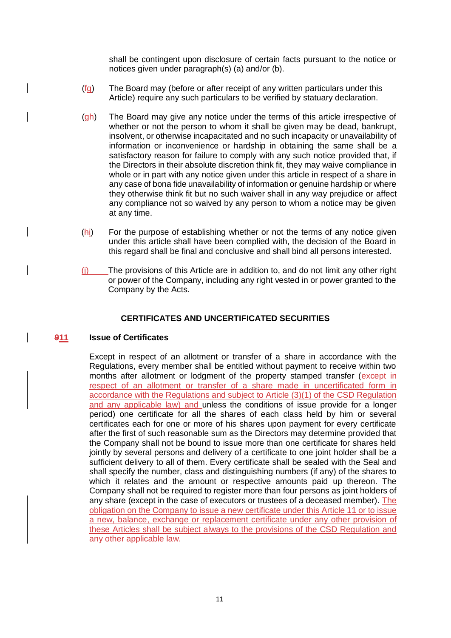shall be contingent upon disclosure of certain facts pursuant to the notice or notices given under paragraph(s) (a) and/or (b).

- $(f<sub>G</sub>)$  The Board may (before or after receipt of any written particulars under this Article) require any such particulars to be verified by statuary declaration.
- $(gh)$  The Board may give any notice under the terms of this article irrespective of whether or not the person to whom it shall be given may be dead, bankrupt, insolvent, or otherwise incapacitated and no such incapacity or unavailability of information or inconvenience or hardship in obtaining the same shall be a satisfactory reason for failure to comply with any such notice provided that, if the Directors in their absolute discretion think fit, they may waive compliance in whole or in part with any notice given under this article in respect of a share in any case of bona fide unavailability of information or genuine hardship or where they otherwise think fit but no such waiver shall in any way prejudice or affect any compliance not so waived by any person to whom a notice may be given at any time.
- (hi) For the purpose of establishing whether or not the terms of any notice given under this article shall have been complied with, the decision of the Board in this regard shall be final and conclusive and shall bind all persons interested.
- (j) The provisions of this Article are in addition to, and do not limit any other right or power of the Company, including any right vested in or power granted to the Company by the Acts.

## **CERTIFICATES AND UNCERTIFICATED SECURITIES**

#### **911 Issue of Certificates**

Except in respect of an allotment or transfer of a share in accordance with the Regulations, every member shall be entitled without payment to receive within two months after allotment or lodgment of the property stamped transfer (except in respect of an allotment or transfer of a share made in uncertificated form in accordance with the Regulations and subject to Article (3)(1) of the CSD Regulation and any applicable law) and unless the conditions of issue provide for a longer period) one certificate for all the shares of each class held by him or several certificates each for one or more of his shares upon payment for every certificate after the first of such reasonable sum as the Directors may determine provided that the Company shall not be bound to issue more than one certificate for shares held jointly by several persons and delivery of a certificate to one joint holder shall be a sufficient delivery to all of them. Every certificate shall be sealed with the Seal and shall specify the number, class and distinguishing numbers (if any) of the shares to which it relates and the amount or respective amounts paid up thereon. The Company shall not be required to register more than four persons as joint holders of any share (except in the case of executors or trustees of a deceased member). The obligation on the Company to issue a new certificate under this Article 11 or to issue a new, balance, exchange or replacement certificate under any other provision of these Articles shall be subject always to the provisions of the CSD Regulation and any other applicable law.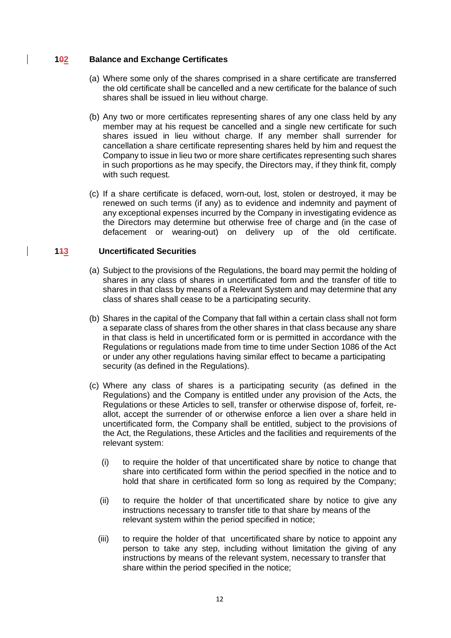### **102 Balance and Exchange Certificates**

- (a) Where some only of the shares comprised in a share certificate are transferred the old certificate shall be cancelled and a new certificate for the balance of such shares shall be issued in lieu without charge.
- (b) Any two or more certificates representing shares of any one class held by any member may at his request be cancelled and a single new certificate for such shares issued in lieu without charge. If any member shall surrender for cancellation a share certificate representing shares held by him and request the Company to issue in lieu two or more share certificates representing such shares in such proportions as he may specify, the Directors may, if they think fit, comply with such request.
- (c) If a share certificate is defaced, worn-out, lost, stolen or destroyed, it may be renewed on such terms (if any) as to evidence and indemnity and payment of any exceptional expenses incurred by the Company in investigating evidence as the Directors may determine but otherwise free of charge and (in the case of defacement or wearing-out) on delivery up of the old certificate.

### **113 Uncertificated Securities**

- (a) Subject to the provisions of the Regulations, the board may permit the holding of shares in any class of shares in uncertificated form and the transfer of title to shares in that class by means of a Relevant System and may determine that any class of shares shall cease to be a participating security.
- (b) Shares in the capital of the Company that fall within a certain class shall not form a separate class of shares from the other shares in that class because any share in that class is held in uncertificated form or is permitted in accordance with the Regulations or regulations made from time to time under Section 1086 of the Act or under any other regulations having similar effect to became a participating security (as defined in the Regulations).
- (c) Where any class of shares is a participating security (as defined in the Regulations) and the Company is entitled under any provision of the Acts, the Regulations or these Articles to sell, transfer or otherwise dispose of, forfeit, reallot, accept the surrender of or otherwise enforce a lien over a share held in uncertificated form, the Company shall be entitled, subject to the provisions of the Act, the Regulations, these Articles and the facilities and requirements of the relevant system:
	- (i) to require the holder of that uncertificated share by notice to change that share into certificated form within the period specified in the notice and to hold that share in certificated form so long as required by the Company:
	- (ii) to require the holder of that uncertificated share by notice to give any instructions necessary to transfer title to that share by means of the relevant system within the period specified in notice;
	- (iii) to require the holder of that uncertificated share by notice to appoint any person to take any step, including without limitation the giving of any instructions by means of the relevant system, necessary to transfer that share within the period specified in the notice;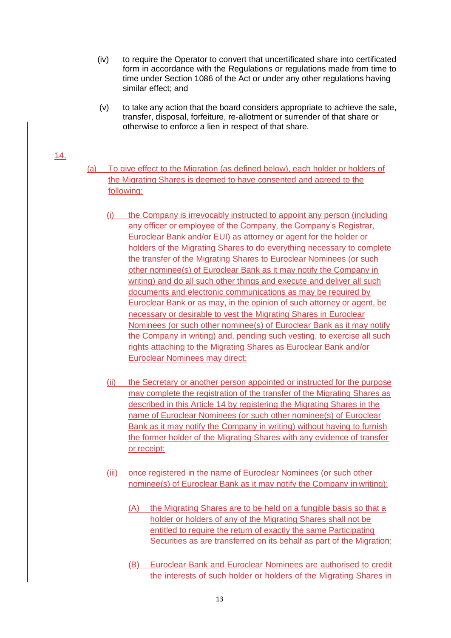- (iv) to require the Operator to convert that uncertificated share into certificated form in accordance with the Regulations or regulations made from time to time under Section 1086 of the Act or under any other regulations having similar effect; and
- (v) to take any action that the board considers appropriate to achieve the sale, transfer, disposal, forfeiture, re-allotment or surrender of that share or otherwise to enforce a lien in respect of that share.

### 14.

- (a) To give effect to the Migration (as defined below), each holder or holders of the Migrating Shares is deemed to have consented and agreed to the following:
	- (i) the Company is irrevocably instructed to appoint any person (including any officer or employee of the Company, the Company's Registrar, Euroclear Bank and/or EUI) as attorney or agent for the holder or holders of the Migrating Shares to do everything necessary to complete the transfer of the Migrating Shares to Euroclear Nominees (or such other nominee(s) of Euroclear Bank as it may notify the Company in writing) and do all such other things and execute and deliver all such documents and electronic communications as may be required by Euroclear Bank or as may, in the opinion of such attorney or agent, be necessary or desirable to vest the Migrating Shares in Euroclear Nominees (or such other nominee(s) of Euroclear Bank as it may notify the Company in writing) and, pending such vesting, to exercise all such rights attaching to the Migrating Shares as Euroclear Bank and/or Euroclear Nominees may direct;
	- (ii) the Secretary or another person appointed or instructed for the purpose may complete the registration of the transfer of the Migrating Shares as described in this Article 14 by registering the Migrating Shares in the name of Euroclear Nominees (or such other nominee(s) of Euroclear Bank as it may notify the Company in writing) without having to furnish the former holder of the Migrating Shares with any evidence of transfer or receipt;
	- (iii) once registered in the name of Euroclear Nominees (or such other nominee(s) of Euroclear Bank as it may notify the Company in writing):
		- (A) the Migrating Shares are to be held on a fungible basis so that a holder or holders of any of the Migrating Shares shall not be entitled to require the return of exactly the same Participating Securities as are transferred on its behalf as part of the Migration;
		- (B) Euroclear Bank and Euroclear Nominees are authorised to credit the interests of such holder or holders of the Migrating Shares in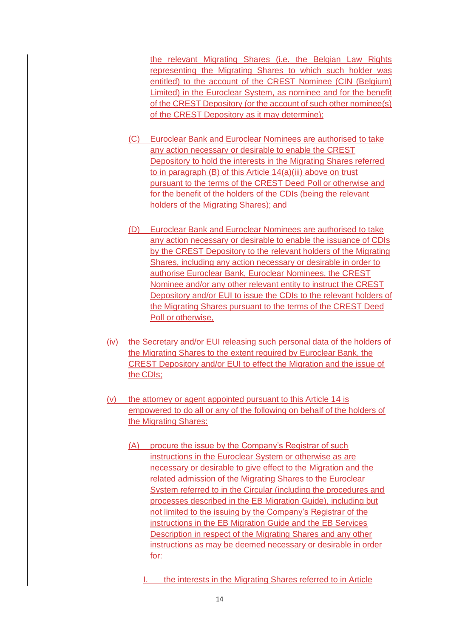the relevant Migrating Shares (i.e. the Belgian Law Rights representing the Migrating Shares to which such holder was entitled) to the account of the CREST Nominee (CIN (Belgium) Limited) in the Euroclear System, as nominee and for the benefit of the CREST Depository (or the account of such other nominee(s) of the CREST Depository as it may determine);

- (C) Euroclear Bank and Euroclear Nominees are authorised to take any action necessary or desirable to enable the CREST Depository to hold the interests in the Migrating Shares referred to in paragraph (B) of this Article 14(a)(iii) above on trust pursuant to the terms of the CREST Deed Poll or otherwise and for the benefit of the holders of the CDIs (being the relevant holders of the Migrating Shares); and
- (D) Euroclear Bank and Euroclear Nominees are authorised to take any action necessary or desirable to enable the issuance of CDIs by the CREST Depository to the relevant holders of the Migrating Shares, including any action necessary or desirable in order to authorise Euroclear Bank, Euroclear Nominees, the CREST Nominee and/or any other relevant entity to instruct the CREST Depository and/or EUI to issue the CDIs to the relevant holders of the Migrating Shares pursuant to the terms of the CREST Deed Poll or otherwise,
- (iv) the Secretary and/or EUI releasing such personal data of the holders of the Migrating Shares to the extent required by Euroclear Bank, the CREST Depository and/or EUI to effect the Migration and the issue of the CDIs;
- (v) the attorney or agent appointed pursuant to this Article 14 is empowered to do all or any of the following on behalf of the holders of the Migrating Shares:
	- (A) procure the issue by the Company's Registrar of such instructions in the Euroclear System or otherwise as are necessary or desirable to give effect to the Migration and the related admission of the Migrating Shares to the Euroclear System referred to in the Circular (including the procedures and processes described in the EB Migration Guide), including but not limited to the issuing by the Company's Registrar of the instructions in the EB Migration Guide and the EB Services Description in respect of the Migrating Shares and any other instructions as may be deemed necessary or desirable in order for:
		- I. the interests in the Migrating Shares referred to in Article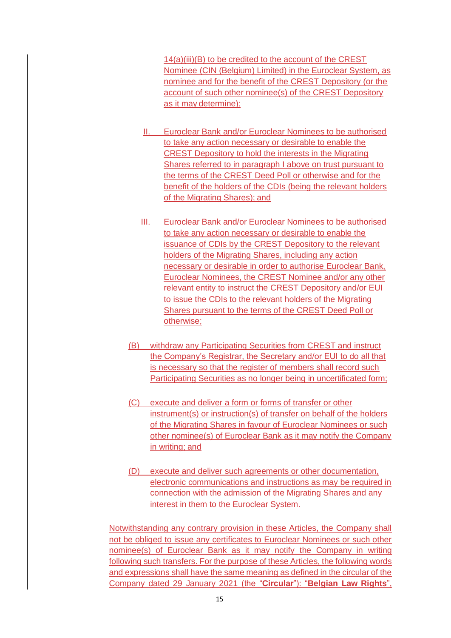14(a)(iii)(B) to be credited to the account of the CREST Nominee (CIN (Belgium) Limited) in the Euroclear System, as nominee and for the benefit of the CREST Depository (or the account of such other nominee(s) of the CREST Depository as it may determine);

- II. Euroclear Bank and/or Euroclear Nominees to be authorised to take any action necessary or desirable to enable the CREST Depository to hold the interests in the Migrating Shares referred to in paragraph I above on trust pursuant to the terms of the CREST Deed Poll or otherwise and for the benefit of the holders of the CDIs (being the relevant holders of the Migrating Shares); and
- III. Euroclear Bank and/or Euroclear Nominees to be authorised to take any action necessary or desirable to enable the issuance of CDIs by the CREST Depository to the relevant holders of the Migrating Shares, including any action necessary or desirable in order to authorise Euroclear Bank, Euroclear Nominees, the CREST Nominee and/or any other relevant entity to instruct the CREST Depository and/or EUI to issue the CDIs to the relevant holders of the Migrating Shares pursuant to the terms of the CREST Deed Poll or otherwise;
- (B) withdraw any Participating Securities from CREST and instruct the Company's Registrar, the Secretary and/or EUI to do all that is necessary so that the register of members shall record such Participating Securities as no longer being in uncertificated form;
- (C) execute and deliver a form or forms of transfer or other instrument(s) or instruction(s) of transfer on behalf of the holders of the Migrating Shares in favour of Euroclear Nominees or such other nominee(s) of Euroclear Bank as it may notify the Company in writing; and
- (D) execute and deliver such agreements or other documentation, electronic communications and instructions as may be required in connection with the admission of the Migrating Shares and any interest in them to the Euroclear System.

Notwithstanding any contrary provision in these Articles, the Company shall not be obliged to issue any certificates to Euroclear Nominees or such other nominee(s) of Euroclear Bank as it may notify the Company in writing following such transfers. For the purpose of these Articles, the following words and expressions shall have the same meaning as defined in the circular of the Company dated 29 January 2021 (the "**Circular**"): "**Belgian Law Rights**",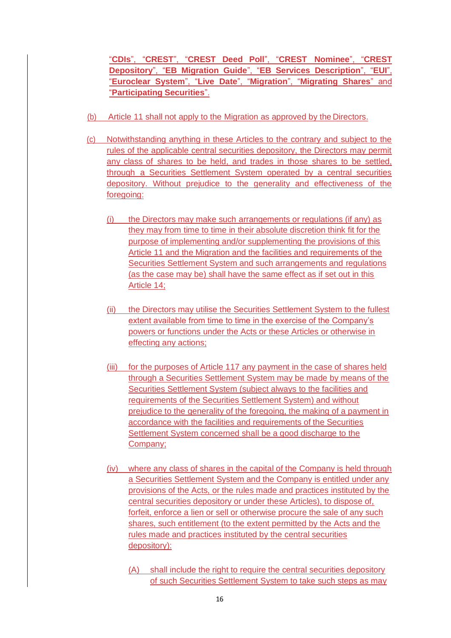"**CDIs**", "**CREST**", "**CREST Deed Poll**", "**CREST Nominee**", "**CREST Depository**", "**EB Migration Guide**", "**EB Services Description**", "**EUI**", "**Euroclear System**", "**Live Date**", "**Migration**", "**Migrating Shares**" and "**Participating Securities**".

- (b) Article 11 shall not apply to the Migration as approved by the Directors.
- (c) Notwithstanding anything in these Articles to the contrary and subject to the rules of the applicable central securities depository, the Directors may permit any class of shares to be held, and trades in those shares to be settled, through a Securities Settlement System operated by a central securities depository. Without prejudice to the generality and effectiveness of the foregoing:
	- (i) the Directors may make such arrangements or regulations (if any) as they may from time to time in their absolute discretion think fit for the purpose of implementing and/or supplementing the provisions of this Article 11 and the Migration and the facilities and requirements of the Securities Settlement System and such arrangements and regulations (as the case may be) shall have the same effect as if set out in this Article 14;
	- (ii) the Directors may utilise the Securities Settlement System to the fullest extent available from time to time in the exercise of the Company's powers or functions under the Acts or these Articles or otherwise in effecting any actions;
	- (iii) for the purposes of Article 117 any payment in the case of shares held through a Securities Settlement System may be made by means of the Securities Settlement System (subject always to the facilities and requirements of the Securities Settlement System) and without prejudice to the generality of the foregoing, the making of a payment in accordance with the facilities and requirements of the Securities Settlement System concerned shall be a good discharge to the Company;
	- (iv) where any class of shares in the capital of the Company is held through a Securities Settlement System and the Company is entitled under any provisions of the Acts, or the rules made and practices instituted by the central securities depository or under these Articles), to dispose of, forfeit, enforce a lien or sell or otherwise procure the sale of any such shares, such entitlement (to the extent permitted by the Acts and the rules made and practices instituted by the central securities depository):
		- (A) shall include the right to require the central securities depository of such Securities Settlement System to take such steps as may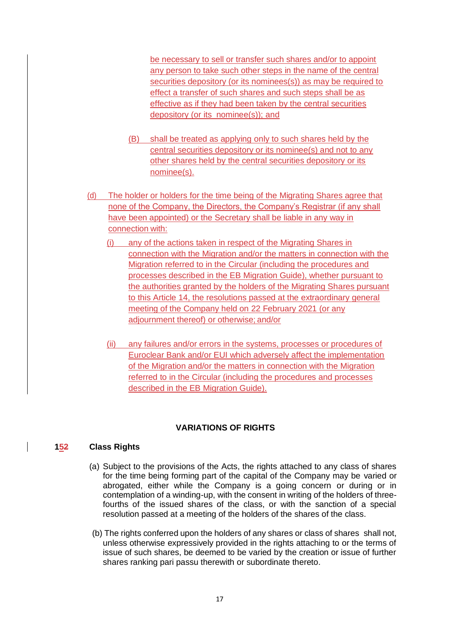be necessary to sell or transfer such shares and/or to appoint any person to take such other steps in the name of the central securities depository (or its nominees(s)) as may be required to effect a transfer of such shares and such steps shall be as effective as if they had been taken by the central securities depository (or its nominee(s)); and

- (B) shall be treated as applying only to such shares held by the central securities depository or its nominee(s) and not to any other shares held by the central securities depository or its nominee(s).
- (d) The holder or holders for the time being of the Migrating Shares agree that none of the Company, the Directors, the Company's Registrar (if any shall have been appointed) or the Secretary shall be liable in any way in connection with:
	- (i) any of the actions taken in respect of the Migrating Shares in connection with the Migration and/or the matters in connection with the Migration referred to in the Circular (including the procedures and processes described in the EB Migration Guide), whether pursuant to the authorities granted by the holders of the Migrating Shares pursuant to this Article 14, the resolutions passed at the extraordinary general meeting of the Company held on 22 February 2021 (or any adjournment thereof) or otherwise; and/or
	- (ii) any failures and/or errors in the systems, processes or procedures of Euroclear Bank and/or EUI which adversely affect the implementation of the Migration and/or the matters in connection with the Migration referred to in the Circular (including the procedures and processes described in the EB Migration Guide).

## **VARIATIONS OF RIGHTS**

## **152 Class Rights**

- (a) Subject to the provisions of the Acts, the rights attached to any class of shares for the time being forming part of the capital of the Company may be varied or abrogated, either while the Company is a going concern or during or in contemplation of a winding-up, with the consent in writing of the holders of threefourths of the issued shares of the class, or with the sanction of a special resolution passed at a meeting of the holders of the shares of the class.
- (b) The rights conferred upon the holders of any shares or class of shares shall not, unless otherwise expressively provided in the rights attaching to or the terms of issue of such shares, be deemed to be varied by the creation or issue of further shares ranking pari passu therewith or subordinate thereto.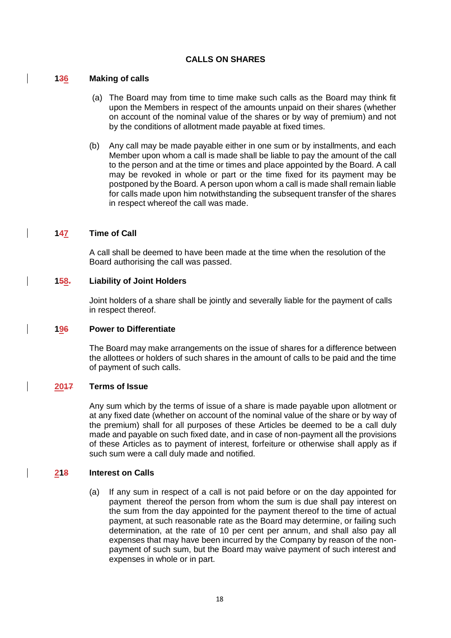## **CALLS ON SHARES**

### **136 Making of calls**

- (a) The Board may from time to time make such calls as the Board may think fit upon the Members in respect of the amounts unpaid on their shares (whether on account of the nominal value of the shares or by way of premium) and not by the conditions of allotment made payable at fixed times.
- (b) Any call may be made payable either in one sum or by installments, and each Member upon whom a call is made shall be liable to pay the amount of the call to the person and at the time or times and place appointed by the Board. A call may be revoked in whole or part or the time fixed for its payment may be postponed by the Board. A person upon whom a call is made shall remain liable for calls made upon him notwithstanding the subsequent transfer of the shares in respect whereof the call was made.

### **147 Time of Call**

A call shall be deemed to have been made at the time when the resolution of the Board authorising the call was passed.

### **158. Liability of Joint Holders**

Joint holders of a share shall be jointly and severally liable for the payment of calls in respect thereof.

### **196 Power to Differentiate**

The Board may make arrangements on the issue of shares for a difference between the allottees or holders of such shares in the amount of calls to be paid and the time of payment of such calls.

#### **2017 Terms of Issue**

Any sum which by the terms of issue of a share is made payable upon allotment or at any fixed date (whether on account of the nominal value of the share or by way of the premium) shall for all purposes of these Articles be deemed to be a call duly made and payable on such fixed date, and in case of non-payment all the provisions of these Articles as to payment of interest, forfeiture or otherwise shall apply as if such sum were a call duly made and notified.

## **218 Interest on Calls**

(a) If any sum in respect of a call is not paid before or on the day appointed for payment thereof the person from whom the sum is due shall pay interest on the sum from the day appointed for the payment thereof to the time of actual payment, at such reasonable rate as the Board may determine, or failing such determination, at the rate of 10 per cent per annum, and shall also pay all expenses that may have been incurred by the Company by reason of the nonpayment of such sum, but the Board may waive payment of such interest and expenses in whole or in part.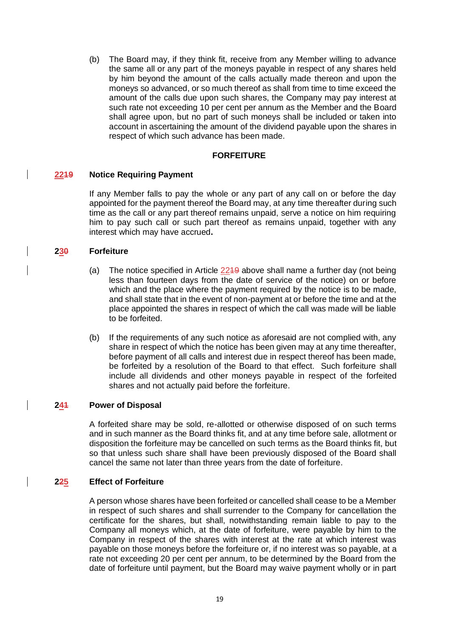(b) The Board may, if they think fit, receive from any Member willing to advance the same all or any part of the moneys payable in respect of any shares held by him beyond the amount of the calls actually made thereon and upon the moneys so advanced, or so much thereof as shall from time to time exceed the amount of the calls due upon such shares, the Company may pay interest at such rate not exceeding 10 per cent per annum as the Member and the Board shall agree upon, but no part of such moneys shall be included or taken into account in ascertaining the amount of the dividend payable upon the shares in respect of which such advance has been made.

## **FORFEITURE**

### **2219 Notice Requiring Payment**

If any Member falls to pay the whole or any part of any call on or before the day appointed for the payment thereof the Board may, at any time thereafter during such time as the call or any part thereof remains unpaid, serve a notice on him requiring him to pay such call or such part thereof as remains unpaid, together with any interest which may have accrued**.**

## **230 Forfeiture**

- (a) The notice specified in Article 2219 above shall name a further day (not being less than fourteen days from the date of service of the notice) on or before which and the place where the payment required by the notice is to be made, and shall state that in the event of non-payment at or before the time and at the place appointed the shares in respect of which the call was made will be liable to be forfeited.
- (b) If the requirements of any such notice as aforesaid are not complied with, any share in respect of which the notice has been given may at any time thereafter, before payment of all calls and interest due in respect thereof has been made, be forfeited by a resolution of the Board to that effect. Such forfeiture shall include all dividends and other moneys payable in respect of the forfeited shares and not actually paid before the forfeiture.

#### **241 Power of Disposal**

A forfeited share may be sold, re-allotted or otherwise disposed of on such terms and in such manner as the Board thinks fit, and at any time before sale, allotment or disposition the forfeiture may be cancelled on such terms as the Board thinks fit, but so that unless such share shall have been previously disposed of the Board shall cancel the same not later than three years from the date of forfeiture.

#### **225 Effect of Forfeiture**

A person whose shares have been forfeited or cancelled shall cease to be a Member in respect of such shares and shall surrender to the Company for cancellation the certificate for the shares, but shall, notwithstanding remain liable to pay to the Company all moneys which, at the date of forfeiture, were payable by him to the Company in respect of the shares with interest at the rate at which interest was payable on those moneys before the forfeiture or, if no interest was so payable, at a rate not exceeding 20 per cent per annum, to be determined by the Board from the date of forfeiture until payment, but the Board may waive payment wholly or in part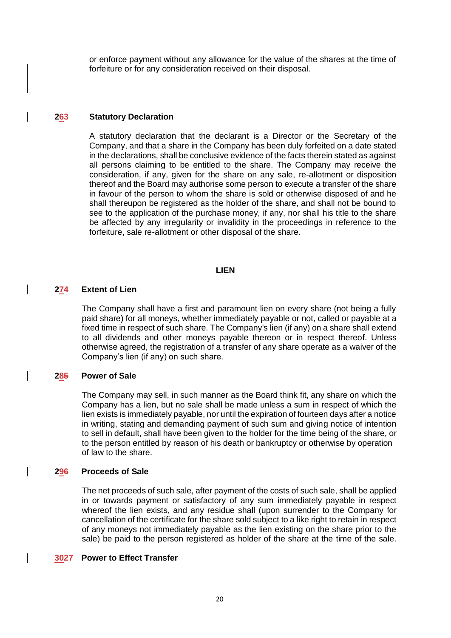or enforce payment without any allowance for the value of the shares at the time of forfeiture or for any consideration received on their disposal.

### **263 Statutory Declaration**

A statutory declaration that the declarant is a Director or the Secretary of the Company, and that a share in the Company has been duly forfeited on a date stated in the declarations, shall be conclusive evidence of the facts therein stated as against all persons claiming to be entitled to the share. The Company may receive the consideration, if any, given for the share on any sale, re-allotment or disposition thereof and the Board may authorise some person to execute a transfer of the share in favour of the person to whom the share is sold or otherwise disposed of and he shall thereupon be registered as the holder of the share, and shall not be bound to see to the application of the purchase money, if any, nor shall his title to the share be affected by any irregularity or invalidity in the proceedings in reference to the forfeiture, sale re-allotment or other disposal of the share.

#### **LIEN**

### **274 Extent of Lien**

The Company shall have a first and paramount lien on every share (not being a fully paid share) for all moneys, whether immediately payable or not, called or payable at a fixed time in respect of such share. The Company's lien (if any) on a share shall extend to all dividends and other moneys payable thereon or in respect thereof. Unless otherwise agreed, the registration of a transfer of any share operate as a waiver of the Company's lien (if any) on such share.

## **285 Power of Sale**

The Company may sell, in such manner as the Board think fit, any share on which the Company has a lien, but no sale shall be made unless a sum in respect of which the lien exists is immediately payable, nor until the expiration of fourteen days after a notice in writing, stating and demanding payment of such sum and giving notice of intention to sell in default, shall have been given to the holder for the time being of the share, or to the person entitled by reason of his death or bankruptcy or otherwise by operation of law to the share.

#### **296 Proceeds of Sale**

The net proceeds of such sale, after payment of the costs of such sale, shall be applied in or towards payment or satisfactory of any sum immediately payable in respect whereof the lien exists, and any residue shall (upon surrender to the Company for cancellation of the certificate for the share sold subject to a like right to retain in respect of any moneys not immediately payable as the lien existing on the share prior to the sale) be paid to the person registered as holder of the share at the time of the sale.

#### **3027 Power to Effect Transfer**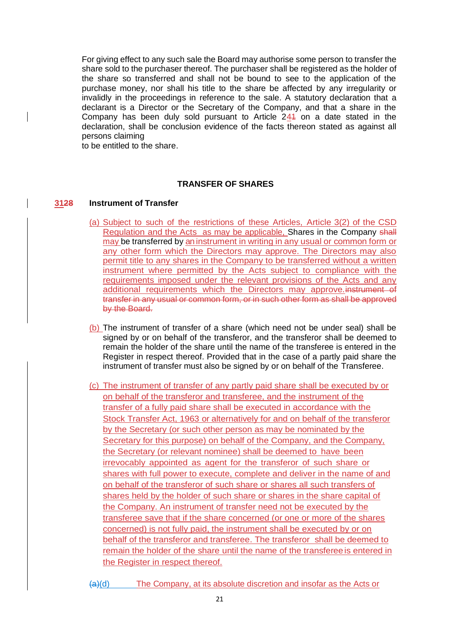For giving effect to any such sale the Board may authorise some person to transfer the share sold to the purchaser thereof. The purchaser shall be registered as the holder of the share so transferred and shall not be bound to see to the application of the purchase money, nor shall his title to the share be affected by any irregularity or invalidly in the proceedings in reference to the sale. A statutory declaration that a declarant is a Director or the Secretary of the Company, and that a share in the Company has been duly sold pursuant to Article 241 on a date stated in the declaration, shall be conclusion evidence of the facts thereon stated as against all persons claiming

to be entitled to the share.

## **TRANSFER OF SHARES**

### **3128 Instrument of Transfer**

- (a) Subject to such of the restrictions of these Articles, Article 3(2) of the CSD Regulation and the Acts as may be applicable, Shares in the Company shall may be transferred by an instrument in writing in any usual or common form or any other form which the Directors may approve. The Directors may also permit title to any shares in the Company to be transferred without a written instrument where permitted by the Acts subject to compliance with the requirements imposed under the relevant provisions of the Acts and any additional requirements which the Directors may approve. instrument of transfer in any usual or common form, or in such other form as shall be approved by the Board.
- (b) The instrument of transfer of a share (which need not be under seal) shall be signed by or on behalf of the transferor, and the transferor shall be deemed to remain the holder of the share until the name of the transferee is entered in the Register in respect thereof. Provided that in the case of a partly paid share the instrument of transfer must also be signed by or on behalf of the Transferee.
- (c) The instrument of transfer of any partly paid share shall be executed by or on behalf of the transferor and transferee, and the instrument of the transfer of a fully paid share shall be executed in accordance with the Stock Transfer Act, 1963 or alternatively for and on behalf of the transferor by the Secretary (or such other person as may be nominated by the Secretary for this purpose) on behalf of the Company, and the Company, the Secretary (or relevant nominee) shall be deemed to have been irrevocably appointed as agent for the transferor of such share or shares with full power to execute, complete and deliver in the name of and on behalf of the transferor of such share or shares all such transfers of shares held by the holder of such share or shares in the share capital of the Company. An instrument of transfer need not be executed by the transferee save that if the share concerned (or one or more of the shares concerned) is not fully paid, the instrument shall be executed by or on behalf of the transferor and transferee. The transferor shall be deemed to remain the holder of the share until the name of the transfereeis entered in the Register in respect thereof.

(a)(d) The Company, at its absolute discretion and insofar as the Acts or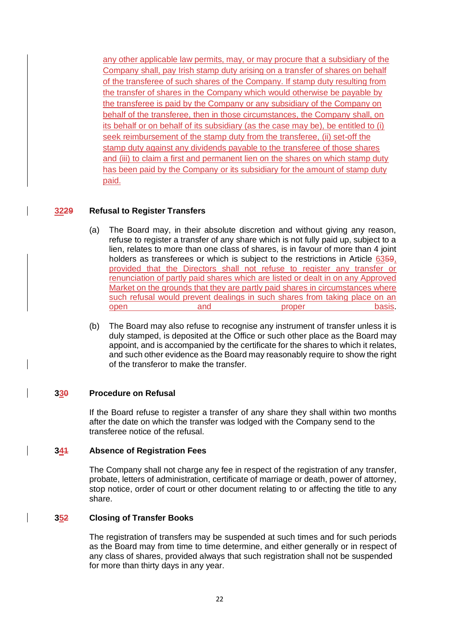any other applicable law permits, may, or may procure that a subsidiary of the Company shall, pay Irish stamp duty arising on a transfer of shares on behalf of the transferee of such shares of the Company. If stamp duty resulting from the transfer of shares in the Company which would otherwise be payable by the transferee is paid by the Company or any subsidiary of the Company on behalf of the transferee, then in those circumstances, the Company shall, on its behalf or on behalf of its subsidiary (as the case may be), be entitled to (i) seek reimbursement of the stamp duty from the transferee, (ii) set-off the stamp duty against any dividends payable to the transferee of those shares and (iii) to claim a first and permanent lien on the shares on which stamp duty has been paid by the Company or its subsidiary for the amount of stamp duty paid.

# **3229 Refusal to Register Transfers**

- (a) The Board may, in their absolute discretion and without giving any reason, refuse to register a transfer of any share which is not fully paid up, subject to a lien, relates to more than one class of shares, is in favour of more than 4 joint holders as transferees or which is subject to the restrictions in Article 6359, provided that the Directors shall not refuse to register any transfer or renunciation of partly paid shares which are listed or dealt in on any Approved Market on the grounds that they are partly paid shares in circumstances where such refusal would prevent dealings in such shares from taking place on an open basis. open and proper basis.
- (b) The Board may also refuse to recognise any instrument of transfer unless it is duly stamped, is deposited at the Office or such other place as the Board may appoint, and is accompanied by the certificate for the shares to which it relates, and such other evidence as the Board may reasonably require to show the right of the transferor to make the transfer.

## **330 Procedure on Refusal**

If the Board refuse to register a transfer of any share they shall within two months after the date on which the transfer was lodged with the Company send to the transferee notice of the refusal.

## **341 Absence of Registration Fees**

The Company shall not charge any fee in respect of the registration of any transfer, probate, letters of administration, certificate of marriage or death, power of attorney, stop notice, order of court or other document relating to or affecting the title to any share.

## **352 Closing of Transfer Books**

The registration of transfers may be suspended at such times and for such periods as the Board may from time to time determine, and either generally or in respect of any class of shares, provided always that such registration shall not be suspended for more than thirty days in any year.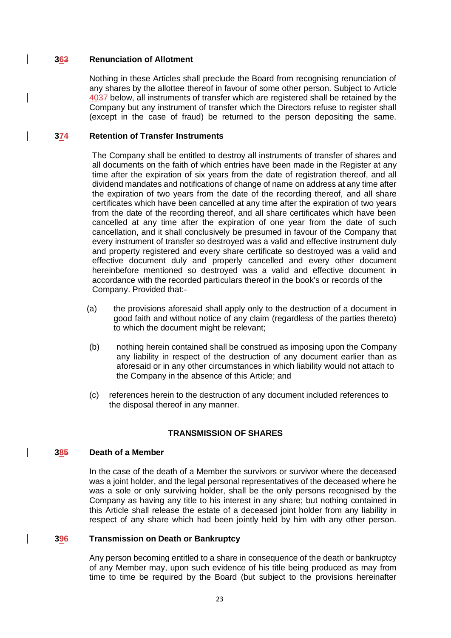### **363 Renunciation of Allotment**

Nothing in these Articles shall preclude the Board from recognising renunciation of any shares by the allottee thereof in favour of some other person. Subject to Article 4037 below, all instruments of transfer which are registered shall be retained by the Company but any instrument of transfer which the Directors refuse to register shall (except in the case of fraud) be returned to the person depositing the same.

### **374 Retention of Transfer Instruments**

The Company shall be entitled to destroy all instruments of transfer of shares and all documents on the faith of which entries have been made in the Register at any time after the expiration of six years from the date of registration thereof, and all dividend mandates and notifications of change of name on address at any time after the expiration of two years from the date of the recording thereof, and all share certificates which have been cancelled at any time after the expiration of two years from the date of the recording thereof, and all share certificates which have been cancelled at any time after the expiration of one year from the date of such cancellation, and it shall conclusively be presumed in favour of the Company that every instrument of transfer so destroyed was a valid and effective instrument duly and property registered and every share certificate so destroyed was a valid and effective document duly and properly cancelled and every other document hereinbefore mentioned so destroyed was a valid and effective document in accordance with the recorded particulars thereof in the book's or records of the Company. Provided that:-

- (a) the provisions aforesaid shall apply only to the destruction of a document in good faith and without notice of any claim (regardless of the parties thereto) to which the document might be relevant;
- (b) nothing herein contained shall be construed as imposing upon the Company any liability in respect of the destruction of any document earlier than as aforesaid or in any other circumstances in which liability would not attach to the Company in the absence of this Article; and
- (c) references herein to the destruction of any document included references to the disposal thereof in any manner.

## **TRANSMISSION OF SHARES**

#### **385 Death of a Member**

In the case of the death of a Member the survivors or survivor where the deceased was a joint holder, and the legal personal representatives of the deceased where he was a sole or only surviving holder, shall be the only persons recognised by the Company as having any title to his interest in any share; but nothing contained in this Article shall release the estate of a deceased joint holder from any liability in respect of any share which had been jointly held by him with any other person.

#### **396 Transmission on Death or Bankruptcy**

Any person becoming entitled to a share in consequence of the death or bankruptcy of any Member may, upon such evidence of his title being produced as may from time to time be required by the Board (but subject to the provisions hereinafter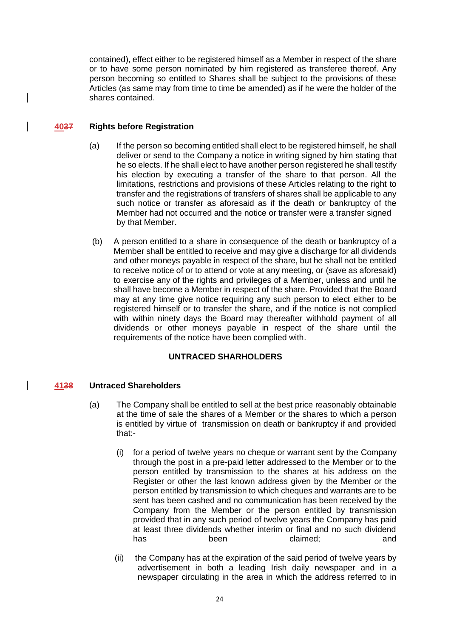contained), effect either to be registered himself as a Member in respect of the share or to have some person nominated by him registered as transferee thereof. Any person becoming so entitled to Shares shall be subject to the provisions of these Articles (as same may from time to time be amended) as if he were the holder of the shares contained.

## **4037 Rights before Registration**

- (a) If the person so becoming entitled shall elect to be registered himself, he shall deliver or send to the Company a notice in writing signed by him stating that he so elects. If he shall elect to have another person registered he shall testify his election by executing a transfer of the share to that person. All the limitations, restrictions and provisions of these Articles relating to the right to transfer and the registrations of transfers of shares shall be applicable to any such notice or transfer as aforesaid as if the death or bankruptcy of the Member had not occurred and the notice or transfer were a transfer signed by that Member.
- (b) A person entitled to a share in consequence of the death or bankruptcy of a Member shall be entitled to receive and may give a discharge for all dividends and other moneys payable in respect of the share, but he shall not be entitled to receive notice of or to attend or vote at any meeting, or (save as aforesaid) to exercise any of the rights and privileges of a Member, unless and until he shall have become a Member in respect of the share. Provided that the Board may at any time give notice requiring any such person to elect either to be registered himself or to transfer the share, and if the notice is not complied with within ninety days the Board may thereafter withhold payment of all dividends or other moneys payable in respect of the share until the requirements of the notice have been complied with.

## **UNTRACED SHARHOLDERS**

## **4138 Untraced Shareholders**

- (a) The Company shall be entitled to sell at the best price reasonably obtainable at the time of sale the shares of a Member or the shares to which a person is entitled by virtue of transmission on death or bankruptcy if and provided that:-
	- (i) for a period of twelve years no cheque or warrant sent by the Company through the post in a pre-paid letter addressed to the Member or to the person entitled by transmission to the shares at his address on the Register or other the last known address given by the Member or the person entitled by transmission to which cheques and warrants are to be sent has been cashed and no communication has been received by the Company from the Member or the person entitled by transmission provided that in any such period of twelve years the Company has paid at least three dividends whether interim or final and no such dividend has been claimed; and
	- (ii) the Company has at the expiration of the said period of twelve years by advertisement in both a leading Irish daily newspaper and in a newspaper circulating in the area in which the address referred to in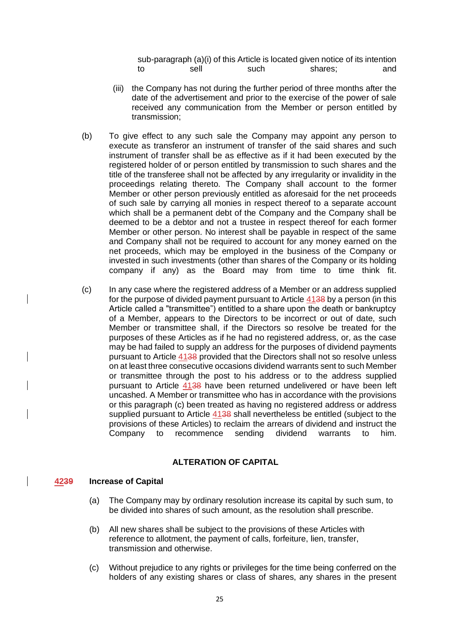sub-paragraph (a)(i) of this Article is located given notice of its intention to sell such shares; and

- (iii) the Company has not during the further period of three months after the date of the advertisement and prior to the exercise of the power of sale received any communication from the Member or person entitled by transmission;
- (b) To give effect to any such sale the Company may appoint any person to execute as transferor an instrument of transfer of the said shares and such instrument of transfer shall be as effective as if it had been executed by the registered holder of or person entitled by transmission to such shares and the title of the transferee shall not be affected by any irregularity or invalidity in the proceedings relating thereto. The Company shall account to the former Member or other person previously entitled as aforesaid for the net proceeds of such sale by carrying all monies in respect thereof to a separate account which shall be a permanent debt of the Company and the Company shall be deemed to be a debtor and not a trustee in respect thereof for each former Member or other person. No interest shall be payable in respect of the same and Company shall not be required to account for any money earned on the net proceeds, which may be employed in the business of the Company or invested in such investments (other than shares of the Company or its holding company if any) as the Board may from time to time think fit.
- (c) In any case where the registered address of a Member or an address supplied for the purpose of divided payment pursuant to Article 4138 by a person (in this Article called a "transmittee") entitled to a share upon the death or bankruptcy of a Member, appears to the Directors to be incorrect or out of date, such Member or transmittee shall, if the Directors so resolve be treated for the purposes of these Articles as if he had no registered address, or, as the case may be had failed to supply an address for the purposes of dividend payments pursuant to Article 4138 provided that the Directors shall not so resolve unless on at least three consecutive occasions dividend warrants sent to such Member or transmittee through the post to his address or to the address supplied pursuant to Article 4138 have been returned undelivered or have been left uncashed. A Member or transmittee who has in accordance with the provisions or this paragraph (c) been treated as having no registered address or address supplied pursuant to Article 4138 shall nevertheless be entitled (subject to the provisions of these Articles) to reclaim the arrears of dividend and instruct the Company to recommence sending dividend warrants to him.

# **ALTERATION OF CAPITAL**

#### **4239 Increase of Capital**

- (a) The Company may by ordinary resolution increase its capital by such sum, to be divided into shares of such amount, as the resolution shall prescribe.
- (b) All new shares shall be subject to the provisions of these Articles with reference to allotment, the payment of calls, forfeiture, lien, transfer, transmission and otherwise.
- (c) Without prejudice to any rights or privileges for the time being conferred on the holders of any existing shares or class of shares, any shares in the present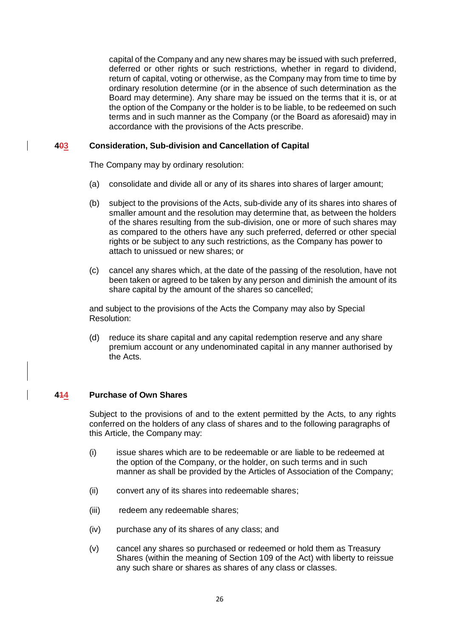capital of the Company and any new shares may be issued with such preferred, deferred or other rights or such restrictions, whether in regard to dividend, return of capital, voting or otherwise, as the Company may from time to time by ordinary resolution determine (or in the absence of such determination as the Board may determine). Any share may be issued on the terms that it is, or at the option of the Company or the holder is to be liable, to be redeemed on such terms and in such manner as the Company (or the Board as aforesaid) may in accordance with the provisions of the Acts prescribe.

### **403 Consideration, Sub-division and Cancellation of Capital**

The Company may by ordinary resolution:

- (a) consolidate and divide all or any of its shares into shares of larger amount;
- (b) subject to the provisions of the Acts, sub-divide any of its shares into shares of smaller amount and the resolution may determine that, as between the holders of the shares resulting from the sub-division, one or more of such shares may as compared to the others have any such preferred, deferred or other special rights or be subject to any such restrictions, as the Company has power to attach to unissued or new shares; or
- (c) cancel any shares which, at the date of the passing of the resolution, have not been taken or agreed to be taken by any person and diminish the amount of its share capital by the amount of the shares so cancelled;

and subject to the provisions of the Acts the Company may also by Special Resolution:

(d) reduce its share capital and any capital redemption reserve and any share premium account or any undenominated capital in any manner authorised by the Acts.

## **414 Purchase of Own Shares**

Subject to the provisions of and to the extent permitted by the Acts, to any rights conferred on the holders of any class of shares and to the following paragraphs of this Article, the Company may:

- (i) issue shares which are to be redeemable or are liable to be redeemed at the option of the Company, or the holder, on such terms and in such manner as shall be provided by the Articles of Association of the Company;
- (ii) convert any of its shares into redeemable shares;
- (iii) redeem any redeemable shares;
- (iv) purchase any of its shares of any class; and
- (v) cancel any shares so purchased or redeemed or hold them as Treasury Shares (within the meaning of Section 109 of the Act) with liberty to reissue any such share or shares as shares of any class or classes.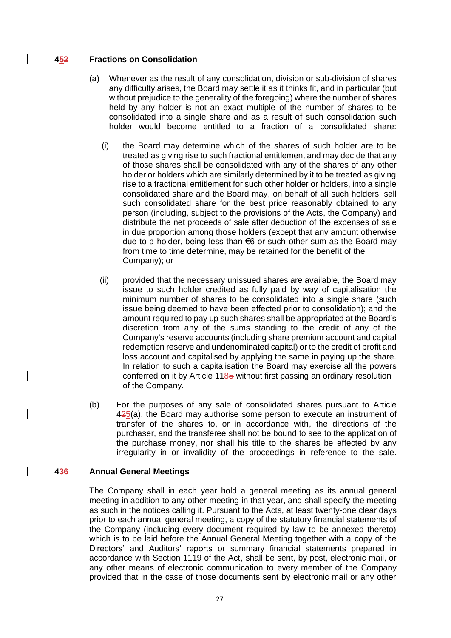### **452 Fractions on Consolidation**

- (a) Whenever as the result of any consolidation, division or sub-division of shares any difficulty arises, the Board may settle it as it thinks fit, and in particular (but without prejudice to the generality of the foregoing) where the number of shares held by any holder is not an exact multiple of the number of shares to be consolidated into a single share and as a result of such consolidation such holder would become entitled to a fraction of a consolidated share:
	- (i) the Board may determine which of the shares of such holder are to be treated as giving rise to such fractional entitlement and may decide that any of those shares shall be consolidated with any of the shares of any other holder or holders which are similarly determined by it to be treated as giving rise to a fractional entitlement for such other holder or holders, into a single consolidated share and the Board may, on behalf of all such holders, sell such consolidated share for the best price reasonably obtained to any person (including, subject to the provisions of the Acts, the Company) and distribute the net proceeds of sale after deduction of the expenses of sale in due proportion among those holders (except that any amount otherwise due to a holder, being less than €6 or such other sum as the Board may from time to time determine, may be retained for the benefit of the Company); or
	- (ii) provided that the necessary unissued shares are available, the Board may issue to such holder credited as fully paid by way of capitalisation the minimum number of shares to be consolidated into a single share (such issue being deemed to have been effected prior to consolidation); and the amount required to pay up such shares shall be appropriated at the Board's discretion from any of the sums standing to the credit of any of the Company's reserve accounts (including share premium account and capital redemption reserve and undenominated capital) or to the credit of profit and loss account and capitalised by applying the same in paying up the share. In relation to such a capitalisation the Board may exercise all the powers conferred on it by Article 1185 without first passing an ordinary resolution of the Company.
- (b) For the purposes of any sale of consolidated shares pursuant to Article 425(a), the Board may authorise some person to execute an instrument of transfer of the shares to, or in accordance with, the directions of the purchaser, and the transferee shall not be bound to see to the application of the purchase money, nor shall his title to the shares be effected by any irregularity in or invalidity of the proceedings in reference to the sale.

## **436 Annual General Meetings**

The Company shall in each year hold a general meeting as its annual general meeting in addition to any other meeting in that year, and shall specify the meeting as such in the notices calling it. Pursuant to the Acts, at least twenty-one clear days prior to each annual general meeting, a copy of the statutory financial statements of the Company (including every document required by law to be annexed thereto) which is to be laid before the Annual General Meeting together with a copy of the Directors' and Auditors' reports or summary financial statements prepared in accordance with Section 1119 of the Act, shall be sent, by post, electronic mail, or any other means of electronic communication to every member of the Company provided that in the case of those documents sent by electronic mail or any other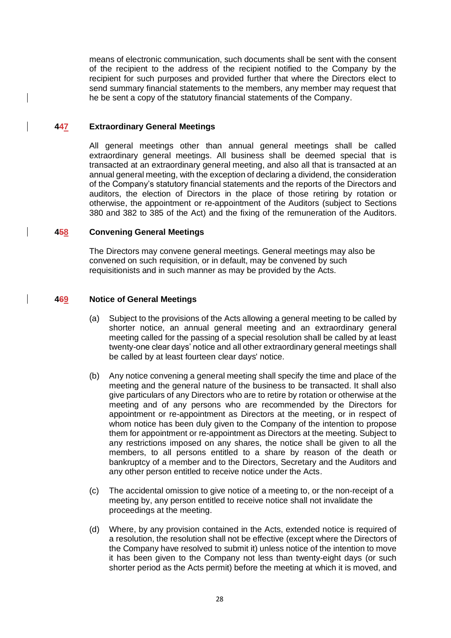means of electronic communication, such documents shall be sent with the consent of the recipient to the address of the recipient notified to the Company by the recipient for such purposes and provided further that where the Directors elect to send summary financial statements to the members, any member may request that he be sent a copy of the statutory financial statements of the Company.

### **447 Extraordinary General Meetings**

All general meetings other than annual general meetings shall be called extraordinary general meetings. All business shall be deemed special that is transacted at an extraordinary general meeting, and also all that is transacted at an annual general meeting, with the exception of declaring a dividend, the consideration of the Company's statutory financial statements and the reports of the Directors and auditors, the election of Directors in the place of those retiring by rotation or otherwise, the appointment or re-appointment of the Auditors (subject to Sections 380 and 382 to 385 of the Act) and the fixing of the remuneration of the Auditors.

### **458 Convening General Meetings**

The Directors may convene general meetings. General meetings may also be convened on such requisition, or in default, may be convened by such requisitionists and in such manner as may be provided by the Acts.

### **469 Notice of General Meetings**

- (a) Subject to the provisions of the Acts allowing a general meeting to be called by shorter notice, an annual general meeting and an extraordinary general meeting called for the passing of a special resolution shall be called by at least twenty-one clear days' notice and all other extraordinary general meetings shall be called by at least fourteen clear days' notice.
- (b) Any notice convening a general meeting shall specify the time and place of the meeting and the general nature of the business to be transacted. It shall also give particulars of any Directors who are to retire by rotation or otherwise at the meeting and of any persons who are recommended by the Directors for appointment or re-appointment as Directors at the meeting, or in respect of whom notice has been duly given to the Company of the intention to propose them for appointment or re-appointment as Directors at the meeting. Subject to any restrictions imposed on any shares, the notice shall be given to all the members, to all persons entitled to a share by reason of the death or bankruptcy of a member and to the Directors, Secretary and the Auditors and any other person entitled to receive notice under the Acts.
- (c) The accidental omission to give notice of a meeting to, or the non-receipt of a meeting by, any person entitled to receive notice shall not invalidate the proceedings at the meeting.
- (d) Where, by any provision contained in the Acts, extended notice is required of a resolution, the resolution shall not be effective (except where the Directors of the Company have resolved to submit it) unless notice of the intention to move it has been given to the Company not less than twenty-eight days (or such shorter period as the Acts permit) before the meeting at which it is moved, and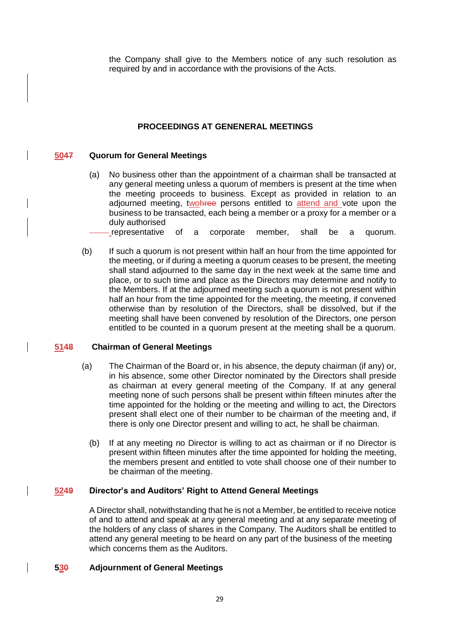the Company shall give to the Members notice of any such resolution as required by and in accordance with the provisions of the Acts.

# **PROCEEDINGS AT GENENERAL MEETINGS**

### **5047 Quorum for General Meetings**

- (a) No business other than the appointment of a chairman shall be transacted at any general meeting unless a quorum of members is present at the time when the meeting proceeds to business. Except as provided in relation to an adjourned meeting, two here persons entitled to attend and vote upon the business to be transacted, each being a member or a proxy for a member or a duly authorised
	- -representative of a corporate member, shall be a quorum.
- (b) If such a quorum is not present within half an hour from the time appointed for the meeting, or if during a meeting a quorum ceases to be present, the meeting shall stand adjourned to the same day in the next week at the same time and place, or to such time and place as the Directors may determine and notify to the Members. If at the adjourned meeting such a quorum is not present within half an hour from the time appointed for the meeting, the meeting, if convened otherwise than by resolution of the Directors, shall be dissolved, but if the meeting shall have been convened by resolution of the Directors, one person entitled to be counted in a quorum present at the meeting shall be a quorum.

#### **5148 Chairman of General Meetings**

- (a) The Chairman of the Board or, in his absence, the deputy chairman (if any) or, in his absence, some other Director nominated by the Directors shall preside as chairman at every general meeting of the Company. If at any general meeting none of such persons shall be present within fifteen minutes after the time appointed for the holding or the meeting and willing to act, the Directors present shall elect one of their number to be chairman of the meeting and, if there is only one Director present and willing to act, he shall be chairman.
	- (b) If at any meeting no Director is willing to act as chairman or if no Director is present within fifteen minutes after the time appointed for holding the meeting, the members present and entitled to vote shall choose one of their number to be chairman of the meeting.

# **5249 Director's and Auditors' Right to Attend General Meetings**

A Director shall, notwithstanding that he is not a Member, be entitled to receive notice of and to attend and speak at any general meeting and at any separate meeting of the holders of any class of shares in the Company. The Auditors shall be entitled to attend any general meeting to be heard on any part of the business of the meeting which concerns them as the Auditors.

## **530 Adjournment of General Meetings**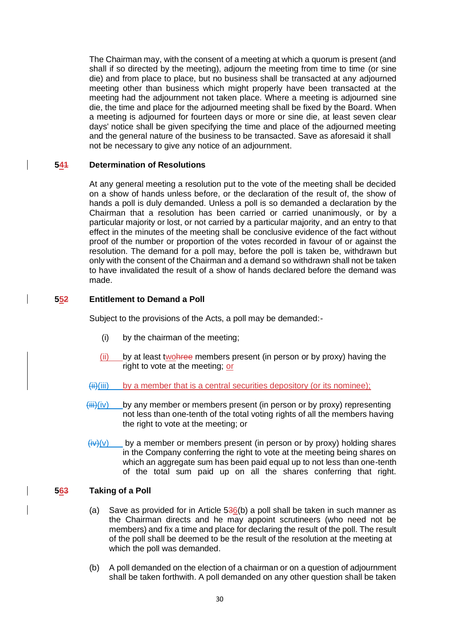The Chairman may, with the consent of a meeting at which a quorum is present (and shall if so directed by the meeting), adjourn the meeting from time to time (or sine die) and from place to place, but no business shall be transacted at any adjourned meeting other than business which might properly have been transacted at the meeting had the adjournment not taken place. Where a meeting is adjourned sine die, the time and place for the adjourned meeting shall be fixed by the Board. When a meeting is adjourned for fourteen days or more or sine die, at least seven clear days' notice shall be given specifying the time and place of the adjourned meeting and the general nature of the business to be transacted. Save as aforesaid it shall not be necessary to give any notice of an adjournment.

## **541 Determination of Resolutions**

At any general meeting a resolution put to the vote of the meeting shall be decided on a show of hands unless before, or the declaration of the result of, the show of hands a poll is duly demanded. Unless a poll is so demanded a declaration by the Chairman that a resolution has been carried or carried unanimously, or by a particular majority or lost, or not carried by a particular majority, and an entry to that effect in the minutes of the meeting shall be conclusive evidence of the fact without proof of the number or proportion of the votes recorded in favour of or against the resolution. The demand for a poll may, before the poll is taken be, withdrawn but only with the consent of the Chairman and a demand so withdrawn shall not be taken to have invalidated the result of a show of hands declared before the demand was made.

# **552 Entitlement to Demand a Poll**

Subject to the provisions of the Acts, a poll may be demanded:-

- (i) by the chairman of the meeting;
- (ii) by at least twohree members present (in person or by proxy) having the right to vote at the meeting; or
- $\overline{\text{iii}}$ (iii) by a member that is a central securities depository (or its nominee);
- $\overline{\text{Hil}}(iv)$  by any member or members present (in person or by proxy) representing not less than one-tenth of the total voting rights of all the members having the right to vote at the meeting; or
- $\frac{\partial \psi}{\partial x}$  by a member or members present (in person or by proxy) holding shares in the Company conferring the right to vote at the meeting being shares on which an aggregate sum has been paid equal up to not less than one-tenth of the total sum paid up on all the shares conferring that right.

# **563 Taking of a Poll**

- (a) Save as provided for in Article  $536(b)$  a poll shall be taken in such manner as the Chairman directs and he may appoint scrutineers (who need not be members) and fix a time and place for declaring the result of the poll. The result of the poll shall be deemed to be the result of the resolution at the meeting at which the poll was demanded.
- (b) A poll demanded on the election of a chairman or on a question of adjournment shall be taken forthwith. A poll demanded on any other question shall be taken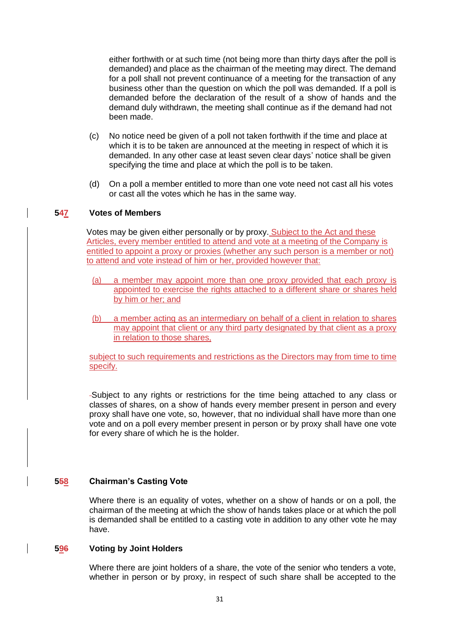either forthwith or at such time (not being more than thirty days after the poll is demanded) and place as the chairman of the meeting may direct. The demand for a poll shall not prevent continuance of a meeting for the transaction of any business other than the question on which the poll was demanded. If a poll is demanded before the declaration of the result of a show of hands and the demand duly withdrawn, the meeting shall continue as if the demand had not been made.

- (c) No notice need be given of a poll not taken forthwith if the time and place at which it is to be taken are announced at the meeting in respect of which it is demanded. In any other case at least seven clear days' notice shall be given specifying the time and place at which the poll is to be taken.
- (d) On a poll a member entitled to more than one vote need not cast all his votes or cast all the votes which he has in the same way.

#### **547 Votes of Members**

Votes may be given either personally or by proxy. Subject to the Act and these Articles, every member entitled to attend and vote at a meeting of the Company is entitled to appoint a proxy or proxies (whether any such person is a member or not) to attend and vote instead of him or her, provided however that:

- (a) a member may appoint more than one proxy provided that each proxy is appointed to exercise the rights attached to a different share or shares held by him or her; and
- (b) a member acting as an intermediary on behalf of a client in relation to shares may appoint that client or any third party designated by that client as a proxy in relation to those shares,

subject to such requirements and restrictions as the Directors may from time to time specify.

Subject to any rights or restrictions for the time being attached to any class or classes of shares, on a show of hands every member present in person and every proxy shall have one vote, so, however, that no individual shall have more than one vote and on a poll every member present in person or by proxy shall have one vote for every share of which he is the holder.

## **558 Chairman's Casting Vote**

Where there is an equality of votes, whether on a show of hands or on a poll, the chairman of the meeting at which the show of hands takes place or at which the poll is demanded shall be entitled to a casting vote in addition to any other vote he may have.

#### **596 Voting by Joint Holders**

Where there are joint holders of a share, the vote of the senior who tenders a vote, whether in person or by proxy, in respect of such share shall be accepted to the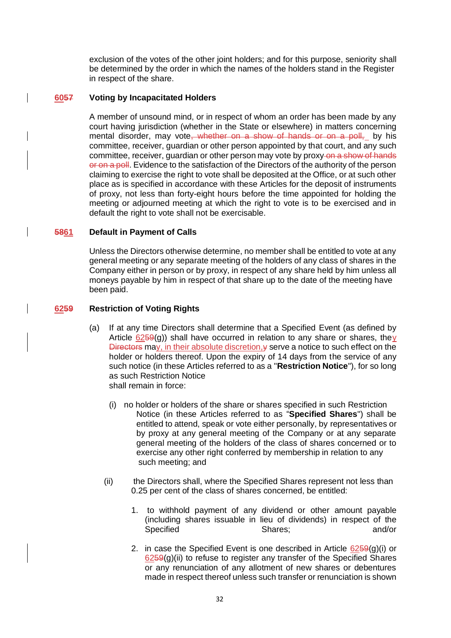exclusion of the votes of the other joint holders; and for this purpose, seniority shall be determined by the order in which the names of the holders stand in the Register in respect of the share.

### **6057 Voting by Incapacitated Holders**

A member of unsound mind, or in respect of whom an order has been made by any court having jurisdiction (whether in the State or elsewhere) in matters concerning mental disorder, may vote, whether on a show of hands or on a poll, by his committee, receiver, guardian or other person appointed by that court, and any such committee, receiver, guardian or other person may vote by proxy-on a show of hands or on a poll. Evidence to the satisfaction of the Directors of the authority of the person claiming to exercise the right to vote shall be deposited at the Office, or at such other place as is specified in accordance with these Articles for the deposit of instruments of proxy, not less than forty-eight hours before the time appointed for holding the meeting or adjourned meeting at which the right to vote is to be exercised and in default the right to vote shall not be exercisable.

## **5861 Default in Payment of Calls**

Unless the Directors otherwise determine, no member shall be entitled to vote at any general meeting or any separate meeting of the holders of any class of shares in the Company either in person or by proxy, in respect of any share held by him unless all moneys payable by him in respect of that share up to the date of the meeting have been paid.

### **6259 Restriction of Voting Rights**

- (a) If at any time Directors shall determine that a Specified Event (as defined by Article  $6259(q)$ ) shall have occurred in relation to any share or shares, they Directors may, in their absolute discretion,  $y$  serve a notice to such effect on the holder or holders thereof. Upon the expiry of 14 days from the service of any such notice (in these Articles referred to as a "**Restriction Notice**"), for so long as such Restriction Notice shall remain in force:
	- (i) no holder or holders of the share or shares specified in such Restriction Notice (in these Articles referred to as "**Specified Shares**") shall be entitled to attend, speak or vote either personally, by representatives or by proxy at any general meeting of the Company or at any separate general meeting of the holders of the class of shares concerned or to exercise any other right conferred by membership in relation to any such meeting; and
	- (ii) the Directors shall, where the Specified Shares represent not less than 0.25 per cent of the class of shares concerned, be entitled:
		- 1. to withhold payment of any dividend or other amount payable (including shares issuable in lieu of dividends) in respect of the Specified Shares: Shares: and/or
		- 2. in case the Specified Event is one described in Article  $6259(g)(i)$  or  $6259(g)(ii)$  to refuse to register any transfer of the Specified Shares or any renunciation of any allotment of new shares or debentures made in respect thereof unless such transfer or renunciation is shown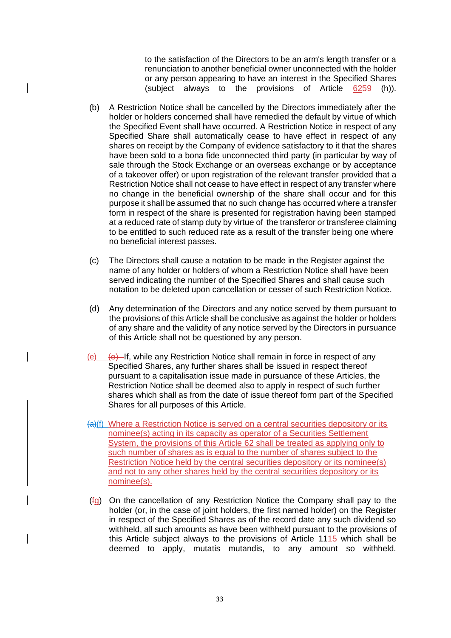to the satisfaction of the Directors to be an arm's length transfer or a renunciation to another beneficial owner unconnected with the holder or any person appearing to have an interest in the Specified Shares (subject always to the provisions of Article 6259 (h)).

- (b) A Restriction Notice shall be cancelled by the Directors immediately after the holder or holders concerned shall have remedied the default by virtue of which the Specified Event shall have occurred. A Restriction Notice in respect of any Specified Share shall automatically cease to have effect in respect of any shares on receipt by the Company of evidence satisfactory to it that the shares have been sold to a bona fide unconnected third party (in particular by way of sale through the Stock Exchange or an overseas exchange or by acceptance of a takeover offer) or upon registration of the relevant transfer provided that a Restriction Notice shall not cease to have effect in respect of any transfer where no change in the beneficial ownership of the share shall occur and for this purpose it shall be assumed that no such change has occurred where a transfer form in respect of the share is presented for registration having been stamped at a reduced rate of stamp duty by virtue of the transferor or transferee claiming to be entitled to such reduced rate as a result of the transfer being one where no beneficial interest passes.
- (c) The Directors shall cause a notation to be made in the Register against the name of any holder or holders of whom a Restriction Notice shall have been served indicating the number of the Specified Shares and shall cause such notation to be deleted upon cancellation or cesser of such Restriction Notice.
- (d) Any determination of the Directors and any notice served by them pursuant to the provisions of this Article shall be conclusive as against the holder or holders of any share and the validity of any notice served by the Directors in pursuance of this Article shall not be questioned by any person.
- (e)  $\left\{ \theta \right\}$  If, while any Restriction Notice shall remain in force in respect of any Specified Shares, any further shares shall be issued in respect thereof pursuant to a capitalisation issue made in pursuance of these Articles, the Restriction Notice shall be deemed also to apply in respect of such further shares which shall as from the date of issue thereof form part of the Specified Shares for all purposes of this Article.
- $(a)$ (f) Where a Restriction Notice is served on a central securities depository or its nominee(s) acting in its capacity as operator of a Securities Settlement System, the provisions of this Article 62 shall be treated as applying only to such number of shares as is equal to the number of shares subject to the Restriction Notice held by the central securities depository or its nominee(s) and not to any other shares held by the central securities depository or its nominee(s).
- (fg) On the cancellation of any Restriction Notice the Company shall pay to the holder (or, in the case of joint holders, the first named holder) on the Register in respect of the Specified Shares as of the record date any such dividend so withheld, all such amounts as have been withheld pursuant to the provisions of this Article subject always to the provisions of Article 1115 which shall be deemed to apply, mutatis mutandis, to any amount so withheld.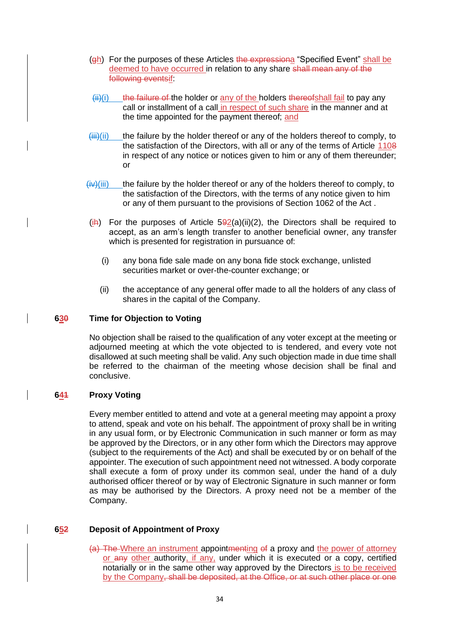- (gh) For the purposes of these Articles the expressiona "Specified Event" shall be deemed to have occurred in relation to any share shall mean any of the following eventsif:
- $(iii)(i)$  the failure of the holder or any of the holders thereofshall fail to pay any call or installment of a call in respect of such share in the manner and at the time appointed for the payment thereof; and
- $\overline{\text{iii}}$ (ii) the failure by the holder thereof or any of the holders thereof to comply, to the satisfaction of the Directors, with all or any of the terms of Article 1108 in respect of any notice or notices given to him or any of them thereunder; or
- $(iv)(iii)$  the failure by the holder thereof or any of the holders thereof to comply, to the satisfaction of the Directors, with the terms of any notice given to him or any of them pursuant to the provisions of Section 1062 of the Act .
- $(i)$  For the purposes of Article 5 $\frac{92}{a}$ (ii)(2), the Directors shall be required to accept, as an arm's length transfer to another beneficial owner, any transfer which is presented for registration in pursuance of:
	- (i) any bona fide sale made on any bona fide stock exchange, unlisted securities market or over-the-counter exchange; or
	- (ii) the acceptance of any general offer made to all the holders of any class of shares in the capital of the Company.

### **630 Time for Objection to Voting**

No objection shall be raised to the qualification of any voter except at the meeting or adjourned meeting at which the vote objected to is tendered, and every vote not disallowed at such meeting shall be valid. Any such objection made in due time shall be referred to the chairman of the meeting whose decision shall be final and conclusive.

## **641 Proxy Voting**

Every member entitled to attend and vote at a general meeting may appoint a proxy to attend, speak and vote on his behalf. The appointment of proxy shall be in writing in any usual form, or by Electronic Communication in such manner or form as may be approved by the Directors, or in any other form which the Directors may approve (subject to the requirements of the Act) and shall be executed by or on behalf of the appointer. The execution of such appointment need not witnessed. A body corporate shall execute a form of proxy under its common seal, under the hand of a duly authorised officer thereof or by way of Electronic Signature in such manner or form as may be authorised by the Directors. A proxy need not be a member of the Company.

## **652 Deposit of Appointment of Proxy**

(a) The Where an instrument appointmenting of a proxy and the power of attorney or any other authority, if any, under which it is executed or a copy, certified notarially or in the same other way approved by the Directors is to be received by the Company, shall be deposited, at the Office, or at such other place or one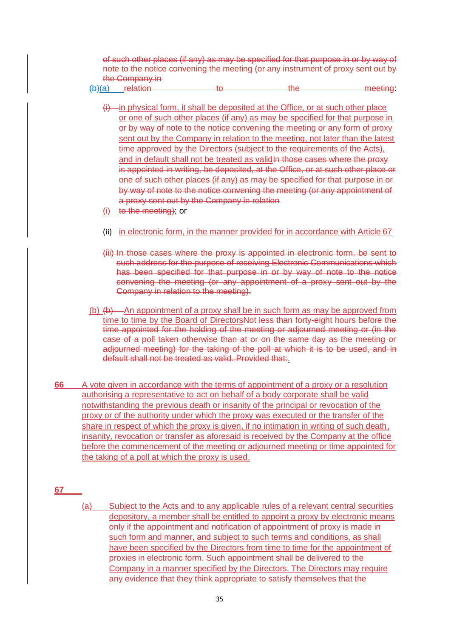of such other places (if any) as may be specified for that purpose in or by way of note to the notice convening the meeting (or any instrument of proxy sent out by the Company in

 $(b)(a)$  relation to the the meeting:

- $(i)$  in physical form, it shall be deposited at the Office, or at such other place or one of such other places (if any) as may be specified for that purpose in or by way of note to the notice convening the meeting or any form of proxy sent out by the Company in relation to the meeting, not later than the latest time approved by the Directors (subject to the requirements of the Acts), and in default shall not be treated as validln those cases where the proxy is appointed in writing, be deposited, at the Office, or at such other place or one of such other places (if any) as may be specified for that purpose in or by way of note to the notice convening the meeting (or any appointment of a proxy sent out by the Company in relation
- (i) to the meeting); or
- (ii) in electronic form, in the manner provided for in accordance with Article 67
- (iii) In those cases where the proxy is appointed in electronic form, be sent to such address for the purpose of receiving Electronic Communications which has been specified for that purpose in or by way of note to the notice convening the meeting (or any appointment of a proxy sent out by the Company in relation to the meeting).
- (b)  $(b)$   $\rightarrow$  An appointment of a proxy shall be in such form as may be approved from time to time by the Board of DirectorsNot less than forty-eight hours before the time appointed for the holding of the meeting or adjourned meeting or (in the case of a poll taken otherwise than at or on the same day as the meeting or adjourned meeting) for the taking of the poll at which it is to be used, and in default shall not be treated as valid. Provided that:.
- **66** A vote given in accordance with the terms of appointment of a proxy or a resolution authorising a representative to act on behalf of a body corporate shall be valid notwithstanding the previous death or insanity of the principal or revocation of the proxy or of the authority under which the proxy was executed or the transfer of the share in respect of which the proxy is given, if no intimation in writing of such death, insanity, revocation or transfer as aforesaid is received by the Company at the office before the commencement of the meeting or adjourned meeting or time appointed for the taking of a poll at which the proxy is used.

**67**

(a) Subject to the Acts and to any applicable rules of a relevant central securities depository, a member shall be entitled to appoint a proxy by electronic means only if the appointment and notification of appointment of proxy is made in such form and manner, and subject to such terms and conditions, as shall have been specified by the Directors from time to time for the appointment of proxies in electronic form. Such appointment shall be delivered to the Company in a manner specified by the Directors. The Directors may require any evidence that they think appropriate to satisfy themselves that the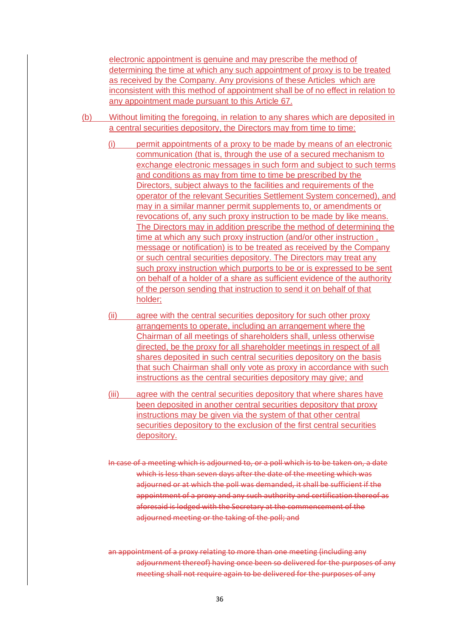electronic appointment is genuine and may prescribe the method of determining the time at which any such appointment of proxy is to be treated as received by the Company. Any provisions of these Articles which are inconsistent with this method of appointment shall be of no effect in relation to any appointment made pursuant to this Article 67.

- (b) Without limiting the foregoing, in relation to any shares which are deposited in a central securities depository, the Directors may from time to time:
	- (i) permit appointments of a proxy to be made by means of an electronic communication (that is, through the use of a secured mechanism to exchange electronic messages in such form and subject to such terms and conditions as may from time to time be prescribed by the Directors, subject always to the facilities and requirements of the operator of the relevant Securities Settlement System concerned), and may in a similar manner permit supplements to, or amendments or revocations of, any such proxy instruction to be made by like means. The Directors may in addition prescribe the method of determining the time at which any such proxy instruction (and/or other instruction , message or notification) is to be treated as received by the Company or such central securities depository. The Directors may treat any such proxy instruction which purports to be or is expressed to be sent on behalf of a holder of a share as sufficient evidence of the authority of the person sending that instruction to send it on behalf of that holder;
	- (ii) agree with the central securities depository for such other proxy arrangements to operate, including an arrangement where the Chairman of all meetings of shareholders shall, unless otherwise directed, be the proxy for all shareholder meetings in respect of all shares deposited in such central securities depository on the basis that such Chairman shall only vote as proxy in accordance with such instructions as the central securities depository may give; and
	- (iii) agree with the central securities depository that where shares have been deposited in another central securities depository that proxy instructions may be given via the system of that other central securities depository to the exclusion of the first central securities depository.
	- In case of a meeting which is adjourned to, or a poll which is to be taken on, a date which is less than seven days after the date of the meeting which was adjourned or at which the poll was demanded, it shall be sufficient if the appointment of a proxy and any such authority and certification thereof as aforesaid is lodged with the Secretary at the commencement of the adjourned meeting or the taking of the poll; and
	- an appointment of a proxy relating to more than one meeting (including any adjournment thereof) having once been so delivered for the purposes of any meeting shall not require again to be delivered for the purposes of any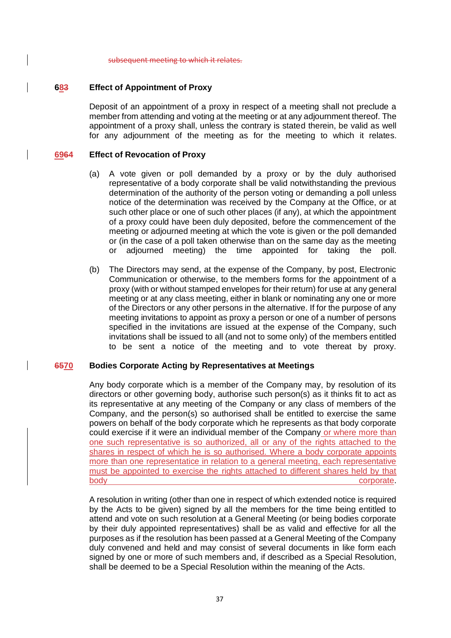subsequent meeting to which it relates.

### **683 Effect of Appointment of Proxy**

Deposit of an appointment of a proxy in respect of a meeting shall not preclude a member from attending and voting at the meeting or at any adjournment thereof. The appointment of a proxy shall, unless the contrary is stated therein, be valid as well for any adjournment of the meeting as for the meeting to which it relates.

### **6964 Effect of Revocation of Proxy**

- (a) A vote given or poll demanded by a proxy or by the duly authorised representative of a body corporate shall be valid notwithstanding the previous determination of the authority of the person voting or demanding a poll unless notice of the determination was received by the Company at the Office, or at such other place or one of such other places (if any), at which the appointment of a proxy could have been duly deposited, before the commencement of the meeting or adjourned meeting at which the vote is given or the poll demanded or (in the case of a poll taken otherwise than on the same day as the meeting or adjourned meeting) the time appointed for taking the poll.
- (b) The Directors may send, at the expense of the Company, by post, Electronic Communication or otherwise, to the members forms for the appointment of a proxy (with or without stamped envelopes for their return) for use at any general meeting or at any class meeting, either in blank or nominating any one or more of the Directors or any other persons in the alternative. If for the purpose of any meeting invitations to appoint as proxy a person or one of a number of persons specified in the invitations are issued at the expense of the Company, such invitations shall be issued to all (and not to some only) of the members entitled to be sent a notice of the meeting and to vote thereat by proxy.

#### **6570 Bodies Corporate Acting by Representatives at Meetings**

Any body corporate which is a member of the Company may, by resolution of its directors or other governing body, authorise such person(s) as it thinks fit to act as its representative at any meeting of the Company or any class of members of the Company, and the person(s) so authorised shall be entitled to exercise the same powers on behalf of the body corporate which he represents as that body corporate could exercise if it were an individual member of the Company or where more than one such representative is so authorized, all or any of the rights attached to the shares in respect of which he is so authorised. Where a body corporate appoints more than one representatice in relation to a general meeting, each representative must be appointed to exercise the rights attached to different shares held by that body corporate.

A resolution in writing (other than one in respect of which extended notice is required by the Acts to be given) signed by all the members for the time being entitled to attend and vote on such resolution at a General Meeting (or being bodies corporate by their duly appointed representatives) shall be as valid and effective for all the purposes as if the resolution has been passed at a General Meeting of the Company duly convened and held and may consist of several documents in like form each signed by one or more of such members and, if described as a Special Resolution, shall be deemed to be a Special Resolution within the meaning of the Acts.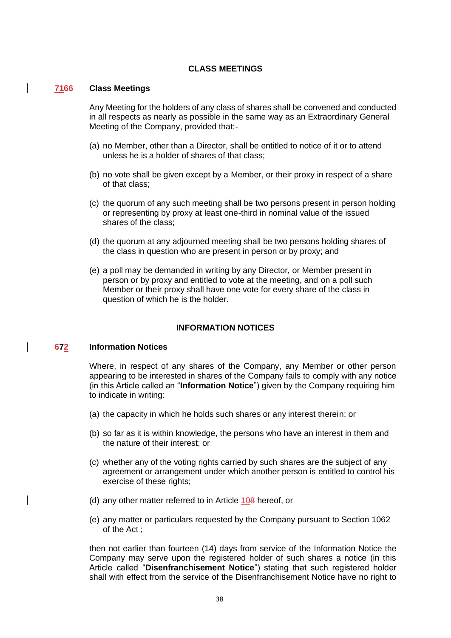### **CLASS MEETINGS**

#### **7166 Class Meetings**

Any Meeting for the holders of any class of shares shall be convened and conducted in all respects as nearly as possible in the same way as an Extraordinary General Meeting of the Company, provided that:-

- (a) no Member, other than a Director, shall be entitled to notice of it or to attend unless he is a holder of shares of that class;
- (b) no vote shall be given except by a Member, or their proxy in respect of a share of that class;
- (c) the quorum of any such meeting shall be two persons present in person holding or representing by proxy at least one-third in nominal value of the issued shares of the class;
- (d) the quorum at any adjourned meeting shall be two persons holding shares of the class in question who are present in person or by proxy; and
- (e) a poll may be demanded in writing by any Director, or Member present in person or by proxy and entitled to vote at the meeting, and on a poll such Member or their proxy shall have one vote for every share of the class in question of which he is the holder.

### **INFORMATION NOTICES**

#### **672 Information Notices**

Where, in respect of any shares of the Company, any Member or other person appearing to be interested in shares of the Company fails to comply with any notice (in this Article called an "**Information Notice**") given by the Company requiring him to indicate in writing:

- (a) the capacity in which he holds such shares or any interest therein; or
- (b) so far as it is within knowledge, the persons who have an interest in them and the nature of their interest; or
- (c) whether any of the voting rights carried by such shares are the subject of any agreement or arrangement under which another person is entitled to control his exercise of these rights;
- (d) any other matter referred to in Article 108 hereof, or
- (e) any matter or particulars requested by the Company pursuant to Section 1062 of the Act ;

then not earlier than fourteen (14) days from service of the Information Notice the Company may serve upon the registered holder of such shares a notice (in this Article called "**Disenfranchisement Notice**") stating that such registered holder shall with effect from the service of the Disenfranchisement Notice have no right to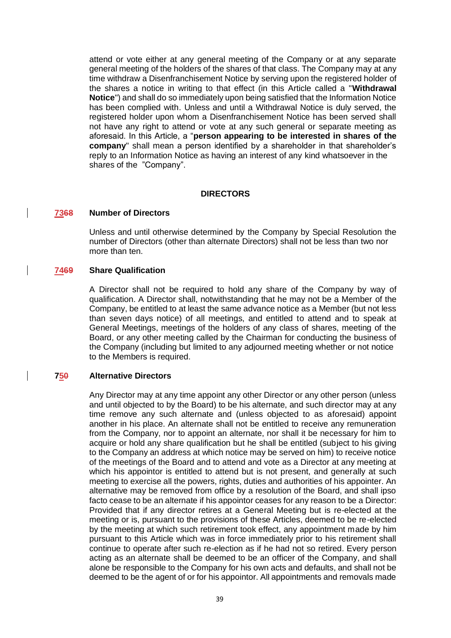attend or vote either at any general meeting of the Company or at any separate general meeting of the holders of the shares of that class. The Company may at any time withdraw a Disenfranchisement Notice by serving upon the registered holder of the shares a notice in writing to that effect (in this Article called a "**Withdrawal Notice**") and shall do so immediately upon being satisfied that the Information Notice has been complied with. Unless and until a Withdrawal Notice is duly served, the registered holder upon whom a Disenfranchisement Notice has been served shall not have any right to attend or vote at any such general or separate meeting as aforesaid. In this Article, a "**person appearing to be interested in shares of the company**" shall mean a person identified by a shareholder in that shareholder's reply to an Information Notice as having an interest of any kind whatsoever in the shares of the "Company".

### **DIRECTORS**

#### **7368 Number of Directors**

Unless and until otherwise determined by the Company by Special Resolution the number of Directors (other than alternate Directors) shall not be less than two nor more than ten.

### **7469 Share Qualification**

A Director shall not be required to hold any share of the Company by way of qualification. A Director shall, notwithstanding that he may not be a Member of the Company, be entitled to at least the same advance notice as a Member (but not less than seven days notice) of all meetings, and entitled to attend and to speak at General Meetings, meetings of the holders of any class of shares, meeting of the Board, or any other meeting called by the Chairman for conducting the business of the Company (including but limited to any adjourned meeting whether or not notice to the Members is required.

#### **750 Alternative Directors**

Any Director may at any time appoint any other Director or any other person (unless and until objected to by the Board) to be his alternate, and such director may at any time remove any such alternate and (unless objected to as aforesaid) appoint another in his place. An alternate shall not be entitled to receive any remuneration from the Company, nor to appoint an alternate, nor shall it be necessary for him to acquire or hold any share qualification but he shall be entitled (subject to his giving to the Company an address at which notice may be served on him) to receive notice of the meetings of the Board and to attend and vote as a Director at any meeting at which his appointor is entitled to attend but is not present, and generally at such meeting to exercise all the powers, rights, duties and authorities of his appointer. An alternative may be removed from office by a resolution of the Board, and shall ipso facto cease to be an alternate if his appointor ceases for any reason to be a Director: Provided that if any director retires at a General Meeting but is re-elected at the meeting or is, pursuant to the provisions of these Articles, deemed to be re-elected by the meeting at which such retirement took effect, any appointment made by him pursuant to this Article which was in force immediately prior to his retirement shall continue to operate after such re-election as if he had not so retired. Every person acting as an alternate shall be deemed to be an officer of the Company, and shall alone be responsible to the Company for his own acts and defaults, and shall not be deemed to be the agent of or for his appointor. All appointments and removals made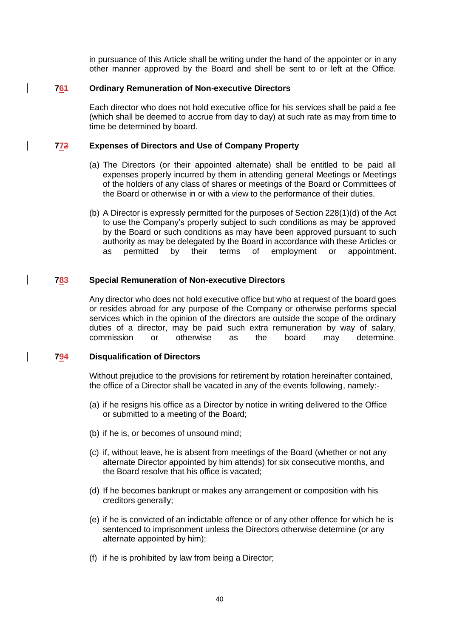in pursuance of this Article shall be writing under the hand of the appointer or in any other manner approved by the Board and shell be sent to or left at the Office.

### **761 Ordinary Remuneration of Non-executive Directors**

Each director who does not hold executive office for his services shall be paid a fee (which shall be deemed to accrue from day to day) at such rate as may from time to time be determined by board.

### **772 Expenses of Directors and Use of Company Property**

- (a) The Directors (or their appointed alternate) shall be entitled to be paid all expenses properly incurred by them in attending general Meetings or Meetings of the holders of any class of shares or meetings of the Board or Committees of the Board or otherwise in or with a view to the performance of their duties.
- (b) A Director is expressly permitted for the purposes of Section 228(1)(d) of the Act to use the Company's property subject to such conditions as may be approved by the Board or such conditions as may have been approved pursuant to such authority as may be delegated by the Board in accordance with these Articles or as permitted by their terms of employment or appointment.

### **783 Special Remuneration of Non-executive Directors**

Any director who does not hold executive office but who at request of the board goes or resides abroad for any purpose of the Company or otherwise performs special services which in the opinion of the directors are outside the scope of the ordinary duties of a director, may be paid such extra remuneration by way of salary, commission or otherwise as the board may determine.

### **794 Disqualification of Directors**

Without prejudice to the provisions for retirement by rotation hereinafter contained, the office of a Director shall be vacated in any of the events following, namely:-

- (a) if he resigns his office as a Director by notice in writing delivered to the Office or submitted to a meeting of the Board;
- (b) if he is, or becomes of unsound mind;
- (c) if, without leave, he is absent from meetings of the Board (whether or not any alternate Director appointed by him attends) for six consecutive months, and the Board resolve that his office is vacated;
- (d) If he becomes bankrupt or makes any arrangement or composition with his creditors generally;
- (e) if he is convicted of an indictable offence or of any other offence for which he is sentenced to imprisonment unless the Directors otherwise determine (or any alternate appointed by him);
- (f) if he is prohibited by law from being a Director;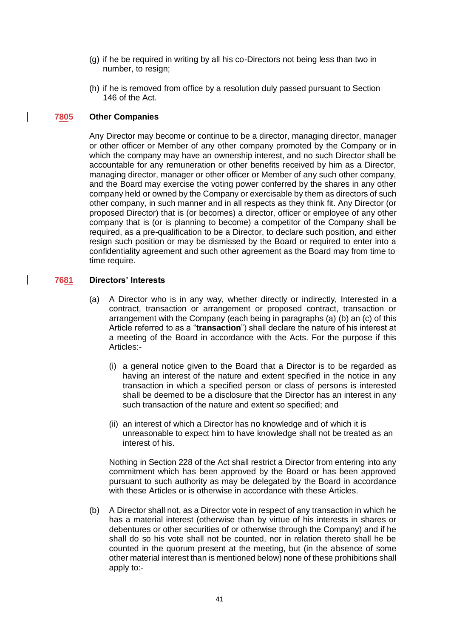- (g) if he be required in writing by all his co-Directors not being less than two in number, to resign;
- (h) if he is removed from office by a resolution duly passed pursuant to Section 146 of the Act.

### **7805 Other Companies**

Any Director may become or continue to be a director, managing director, manager or other officer or Member of any other company promoted by the Company or in which the company may have an ownership interest, and no such Director shall be accountable for any remuneration or other benefits received by him as a Director, managing director, manager or other officer or Member of any such other company, and the Board may exercise the voting power conferred by the shares in any other company held or owned by the Company or exercisable by them as directors of such other company, in such manner and in all respects as they think fit. Any Director (or proposed Director) that is (or becomes) a director, officer or employee of any other company that is (or is planning to become) a competitor of the Company shall be required, as a pre-qualification to be a Director, to declare such position, and either resign such position or may be dismissed by the Board or required to enter into a confidentiality agreement and such other agreement as the Board may from time to time require.

## **7681 Directors' Interests**

- (a) A Director who is in any way, whether directly or indirectly, Interested in a contract, transaction or arrangement or proposed contract, transaction or arrangement with the Company (each being in paragraphs (a) (b) an (c) of this Article referred to as a "**transaction**") shall declare the nature of his interest at a meeting of the Board in accordance with the Acts. For the purpose if this Articles:-
	- (i) a general notice given to the Board that a Director is to be regarded as having an interest of the nature and extent specified in the notice in any transaction in which a specified person or class of persons is interested shall be deemed to be a disclosure that the Director has an interest in any such transaction of the nature and extent so specified; and
	- (ii) an interest of which a Director has no knowledge and of which it is unreasonable to expect him to have knowledge shall not be treated as an interest of his.

Nothing in Section 228 of the Act shall restrict a Director from entering into any commitment which has been approved by the Board or has been approved pursuant to such authority as may be delegated by the Board in accordance with these Articles or is otherwise in accordance with these Articles.

(b) A Director shall not, as a Director vote in respect of any transaction in which he has a material interest (otherwise than by virtue of his interests in shares or debentures or other securities of or otherwise through the Company) and if he shall do so his vote shall not be counted, nor in relation thereto shall he be counted in the quorum present at the meeting, but (in the absence of some other material interest than is mentioned below) none of these prohibitions shall apply to:-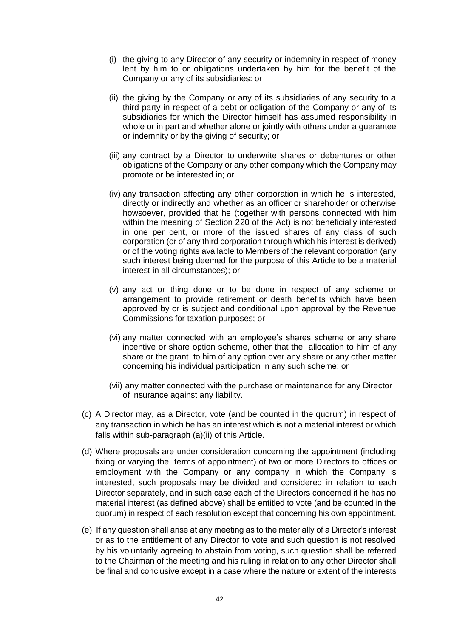- (i) the giving to any Director of any security or indemnity in respect of money lent by him to or obligations undertaken by him for the benefit of the Company or any of its subsidiaries: or
- (ii) the giving by the Company or any of its subsidiaries of any security to a third party in respect of a debt or obligation of the Company or any of its subsidiaries for which the Director himself has assumed responsibility in whole or in part and whether alone or jointly with others under a guarantee or indemnity or by the giving of security; or
- (iii) any contract by a Director to underwrite shares or debentures or other obligations of the Company or any other company which the Company may promote or be interested in; or
- (iv) any transaction affecting any other corporation in which he is interested, directly or indirectly and whether as an officer or shareholder or otherwise howsoever, provided that he (together with persons connected with him within the meaning of Section 220 of the Act) is not beneficially interested in one per cent, or more of the issued shares of any class of such corporation (or of any third corporation through which his interest is derived) or of the voting rights available to Members of the relevant corporation (any such interest being deemed for the purpose of this Article to be a material interest in all circumstances); or
- (v) any act or thing done or to be done in respect of any scheme or arrangement to provide retirement or death benefits which have been approved by or is subject and conditional upon approval by the Revenue Commissions for taxation purposes; or
- (vi) any matter connected with an employee's shares scheme or any share incentive or share option scheme, other that the allocation to him of any share or the grant to him of any option over any share or any other matter concerning his individual participation in any such scheme; or
- (vii) any matter connected with the purchase or maintenance for any Director of insurance against any liability.
- (c) A Director may, as a Director, vote (and be counted in the quorum) in respect of any transaction in which he has an interest which is not a material interest or which falls within sub-paragraph (a)(ii) of this Article.
- (d) Where proposals are under consideration concerning the appointment (including fixing or varying the terms of appointment) of two or more Directors to offices or employment with the Company or any company in which the Company is interested, such proposals may be divided and considered in relation to each Director separately, and in such case each of the Directors concerned if he has no material interest (as defined above) shall be entitled to vote (and be counted in the quorum) in respect of each resolution except that concerning his own appointment.
- (e) If any question shall arise at any meeting as to the materially of a Director's interest or as to the entitlement of any Director to vote and such question is not resolved by his voluntarily agreeing to abstain from voting, such question shall be referred to the Chairman of the meeting and his ruling in relation to any other Director shall be final and conclusive except in a case where the nature or extent of the interests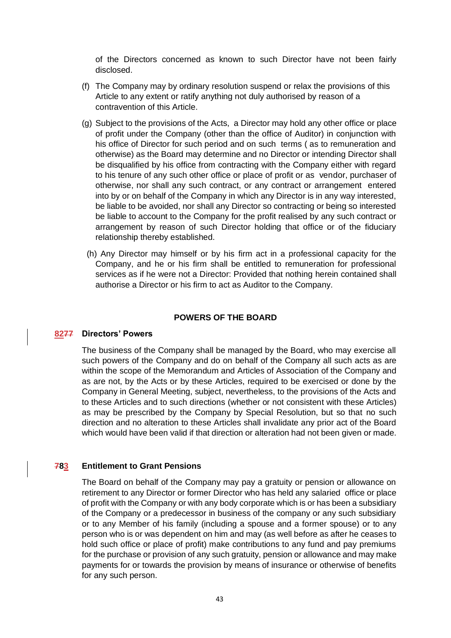of the Directors concerned as known to such Director have not been fairly disclosed.

- (f) The Company may by ordinary resolution suspend or relax the provisions of this Article to any extent or ratify anything not duly authorised by reason of a contravention of this Article.
- (g) Subject to the provisions of the Acts, a Director may hold any other office or place of profit under the Company (other than the office of Auditor) in conjunction with his office of Director for such period and on such terms ( as to remuneration and otherwise) as the Board may determine and no Director or intending Director shall be disqualified by his office from contracting with the Company either with regard to his tenure of any such other office or place of profit or as vendor, purchaser of otherwise, nor shall any such contract, or any contract or arrangement entered into by or on behalf of the Company in which any Director is in any way interested, be liable to be avoided, nor shall any Director so contracting or being so interested be liable to account to the Company for the profit realised by any such contract or arrangement by reason of such Director holding that office or of the fiduciary relationship thereby established.
	- (h) Any Director may himself or by his firm act in a professional capacity for the Company, and he or his firm shall be entitled to remuneration for professional services as if he were not a Director: Provided that nothing herein contained shall authorise a Director or his firm to act as Auditor to the Company.

#### **POWERS OF THE BOARD**

#### **8277 Directors' Powers**

The business of the Company shall be managed by the Board, who may exercise all such powers of the Company and do on behalf of the Company all such acts as are within the scope of the Memorandum and Articles of Association of the Company and as are not, by the Acts or by these Articles, required to be exercised or done by the Company in General Meeting, subject, nevertheless, to the provisions of the Acts and to these Articles and to such directions (whether or not consistent with these Articles) as may be prescribed by the Company by Special Resolution, but so that no such direction and no alteration to these Articles shall invalidate any prior act of the Board which would have been valid if that direction or alteration had not been given or made.

#### **783 Entitlement to Grant Pensions**

The Board on behalf of the Company may pay a gratuity or pension or allowance on retirement to any Director or former Director who has held any salaried office or place of profit with the Company or with any body corporate which is or has been a subsidiary of the Company or a predecessor in business of the company or any such subsidiary or to any Member of his family (including a spouse and a former spouse) or to any person who is or was dependent on him and may (as well before as after he ceases to hold such office or place of profit) make contributions to any fund and pay premiums for the purchase or provision of any such gratuity, pension or allowance and may make payments for or towards the provision by means of insurance or otherwise of benefits for any such person.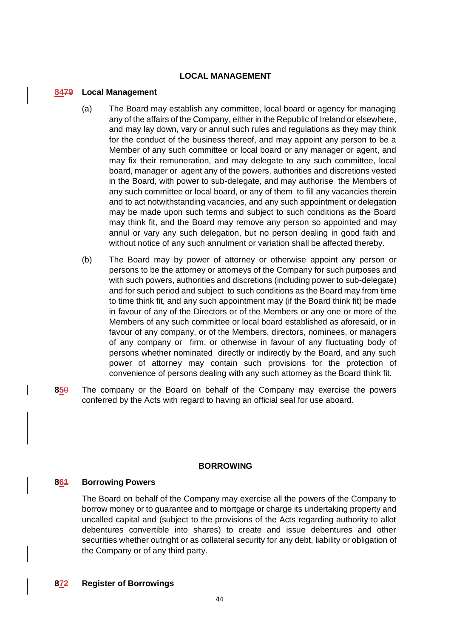### **LOCAL MANAGEMENT**

#### **8479 Local Management**

- (a) The Board may establish any committee, local board or agency for managing any of the affairs of the Company, either in the Republic of Ireland or elsewhere, and may lay down, vary or annul such rules and regulations as they may think for the conduct of the business thereof, and may appoint any person to be a Member of any such committee or local board or any manager or agent, and may fix their remuneration, and may delegate to any such committee, local board, manager or agent any of the powers, authorities and discretions vested in the Board, with power to sub-delegate, and may authorise the Members of any such committee or local board, or any of them to fill any vacancies therein and to act notwithstanding vacancies, and any such appointment or delegation may be made upon such terms and subject to such conditions as the Board may think fit, and the Board may remove any person so appointed and may annul or vary any such delegation, but no person dealing in good faith and without notice of any such annulment or variation shall be affected thereby.
- (b) The Board may by power of attorney or otherwise appoint any person or persons to be the attorney or attorneys of the Company for such purposes and with such powers, authorities and discretions (including power to sub-delegate) and for such period and subject to such conditions as the Board may from time to time think fit, and any such appointment may (if the Board think fit) be made in favour of any of the Directors or of the Members or any one or more of the Members of any such committee or local board established as aforesaid, or in favour of any company, or of the Members, directors, nominees, or managers of any company or firm, or otherwise in favour of any fluctuating body of persons whether nominated directly or indirectly by the Board, and any such power of attorney may contain such provisions for the protection of convenience of persons dealing with any such attorney as the Board think fit.
- **85**0 The company or the Board on behalf of the Company may exercise the powers conferred by the Acts with regard to having an official seal for use aboard.

#### **BORROWING**

## **861 Borrowing Powers**

The Board on behalf of the Company may exercise all the powers of the Company to borrow money or to guarantee and to mortgage or charge its undertaking property and uncalled capital and (subject to the provisions of the Acts regarding authority to allot debentures convertible into shares) to create and issue debentures and other securities whether outright or as collateral security for any debt, liability or obligation of the Company or of any third party.

## **872 Register of Borrowings**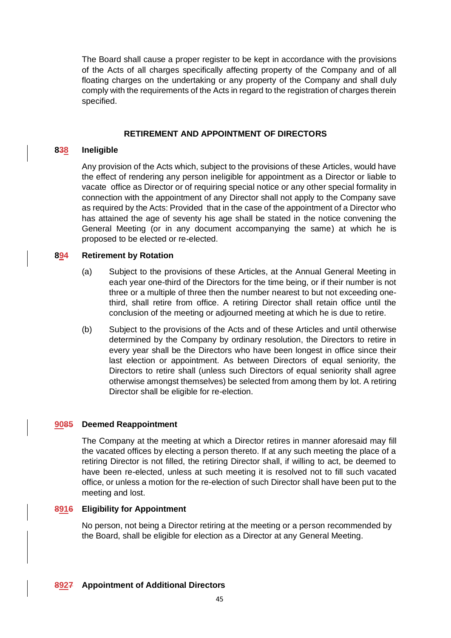The Board shall cause a proper register to be kept in accordance with the provisions of the Acts of all charges specifically affecting property of the Company and of all floating charges on the undertaking or any property of the Company and shall duly comply with the requirements of the Acts in regard to the registration of charges therein specified.

# **RETIREMENT AND APPOINTMENT OF DIRECTORS**

## **838 Ineligible**

Any provision of the Acts which, subject to the provisions of these Articles, would have the effect of rendering any person ineligible for appointment as a Director or liable to vacate office as Director or of requiring special notice or any other special formality in connection with the appointment of any Director shall not apply to the Company save as required by the Acts: Provided that in the case of the appointment of a Director who has attained the age of seventy his age shall be stated in the notice convening the General Meeting (or in any document accompanying the same) at which he is proposed to be elected or re-elected.

## **894 Retirement by Rotation**

- (a) Subject to the provisions of these Articles, at the Annual General Meeting in each year one-third of the Directors for the time being, or if their number is not three or a multiple of three then the number nearest to but not exceeding onethird, shall retire from office. A retiring Director shall retain office until the conclusion of the meeting or adjourned meeting at which he is due to retire.
- (b) Subject to the provisions of the Acts and of these Articles and until otherwise determined by the Company by ordinary resolution, the Directors to retire in every year shall be the Directors who have been longest in office since their last election or appointment. As between Directors of equal seniority, the Directors to retire shall (unless such Directors of equal seniority shall agree otherwise amongst themselves) be selected from among them by lot. A retiring Director shall be eligible for re-election.

## **9085 Deemed Reappointment**

The Company at the meeting at which a Director retires in manner aforesaid may fill the vacated offices by electing a person thereto. If at any such meeting the place of a retiring Director is not filled, the retiring Director shall, if willing to act, be deemed to have been re-elected, unless at such meeting it is resolved not to fill such vacated office, or unless a motion for the re-election of such Director shall have been put to the meeting and lost.

## **8916 Eligibility for Appointment**

No person, not being a Director retiring at the meeting or a person recommended by the Board, shall be eligible for election as a Director at any General Meeting.

**8927 Appointment of Additional Directors**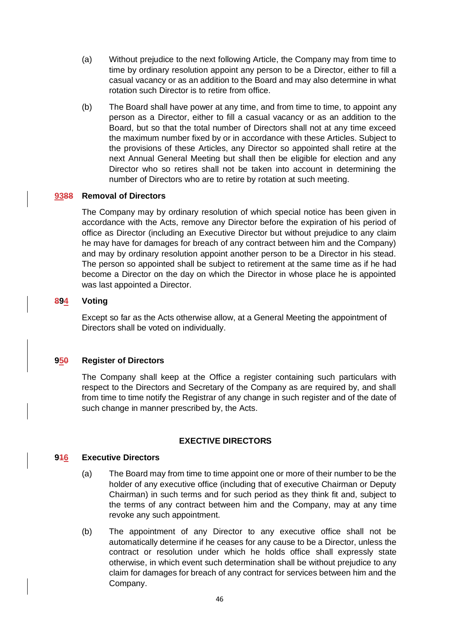- (a) Without prejudice to the next following Article, the Company may from time to time by ordinary resolution appoint any person to be a Director, either to fill a casual vacancy or as an addition to the Board and may also determine in what rotation such Director is to retire from office.
- (b) The Board shall have power at any time, and from time to time, to appoint any person as a Director, either to fill a casual vacancy or as an addition to the Board, but so that the total number of Directors shall not at any time exceed the maximum number fixed by or in accordance with these Articles. Subject to the provisions of these Articles, any Director so appointed shall retire at the next Annual General Meeting but shall then be eligible for election and any Director who so retires shall not be taken into account in determining the number of Directors who are to retire by rotation at such meeting.

### **9388 Removal of Directors**

The Company may by ordinary resolution of which special notice has been given in accordance with the Acts, remove any Director before the expiration of his period of office as Director (including an Executive Director but without prejudice to any claim he may have for damages for breach of any contract between him and the Company) and may by ordinary resolution appoint another person to be a Director in his stead. The person so appointed shall be subject to retirement at the same time as if he had become a Director on the day on which the Director in whose place he is appointed was last appointed a Director.

### **894 Voting**

Except so far as the Acts otherwise allow, at a General Meeting the appointment of Directors shall be voted on individually.

## **950 Register of Directors**

The Company shall keep at the Office a register containing such particulars with respect to the Directors and Secretary of the Company as are required by, and shall from time to time notify the Registrar of any change in such register and of the date of such change in manner prescribed by, the Acts.

#### **EXECTIVE DIRECTORS**

#### **916 Executive Directors**

- (a) The Board may from time to time appoint one or more of their number to be the holder of any executive office (including that of executive Chairman or Deputy Chairman) in such terms and for such period as they think fit and, subject to the terms of any contract between him and the Company, may at any time revoke any such appointment.
- (b) The appointment of any Director to any executive office shall not be automatically determine if he ceases for any cause to be a Director, unless the contract or resolution under which he holds office shall expressly state otherwise, in which event such determination shall be without prejudice to any claim for damages for breach of any contract for services between him and the Company.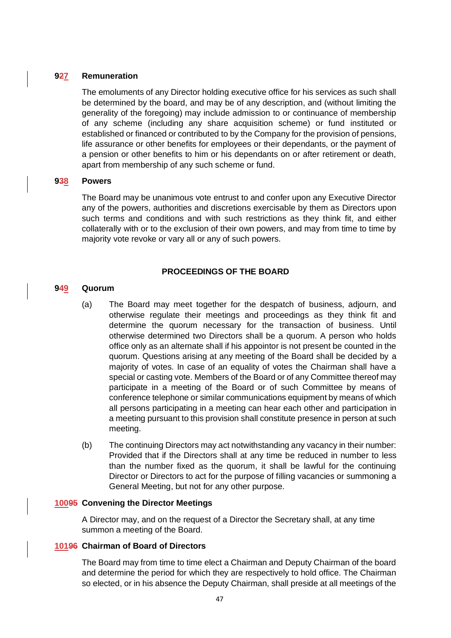### **927 Remuneration**

The emoluments of any Director holding executive office for his services as such shall be determined by the board, and may be of any description, and (without limiting the generality of the foregoing) may include admission to or continuance of membership of any scheme (including any share acquisition scheme) or fund instituted or established or financed or contributed to by the Company for the provision of pensions, life assurance or other benefits for employees or their dependants, or the payment of a pension or other benefits to him or his dependants on or after retirement or death, apart from membership of any such scheme or fund.

#### **938 Powers**

The Board may be unanimous vote entrust to and confer upon any Executive Director any of the powers, authorities and discretions exercisable by them as Directors upon such terms and conditions and with such restrictions as they think fit, and either collaterally with or to the exclusion of their own powers, and may from time to time by majority vote revoke or vary all or any of such powers.

### **PROCEEDINGS OF THE BOARD**

### **949 Quorum**

- (a) The Board may meet together for the despatch of business, adjourn, and otherwise regulate their meetings and proceedings as they think fit and determine the quorum necessary for the transaction of business. Until otherwise determined two Directors shall be a quorum. A person who holds office only as an alternate shall if his appointor is not present be counted in the quorum. Questions arising at any meeting of the Board shall be decided by a majority of votes. In case of an equality of votes the Chairman shall have a special or casting vote. Members of the Board or of any Committee thereof may participate in a meeting of the Board or of such Committee by means of conference telephone or similar communications equipment by means of which all persons participating in a meeting can hear each other and participation in a meeting pursuant to this provision shall constitute presence in person at such meeting.
- (b) The continuing Directors may act notwithstanding any vacancy in their number: Provided that if the Directors shall at any time be reduced in number to less than the number fixed as the quorum, it shall be lawful for the continuing Director or Directors to act for the purpose of filling vacancies or summoning a General Meeting, but not for any other purpose.

## **10095 Convening the Director Meetings**

A Director may, and on the request of a Director the Secretary shall, at any time summon a meeting of the Board.

## **10196 Chairman of Board of Directors**

The Board may from time to time elect a Chairman and Deputy Chairman of the board and determine the period for which they are respectively to hold office. The Chairman so elected, or in his absence the Deputy Chairman, shall preside at all meetings of the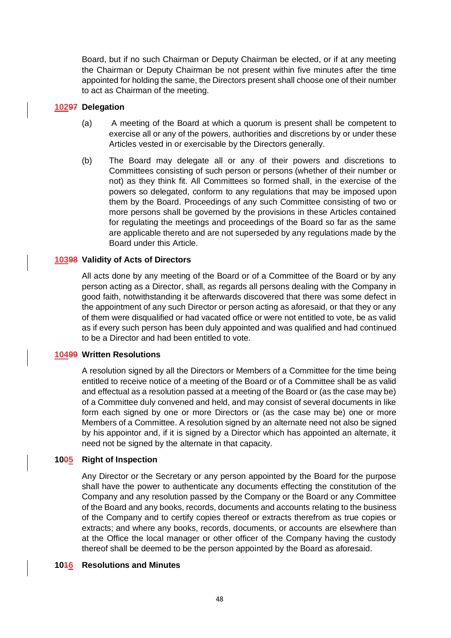Board, but if no such Chairman or Deputy Chairman be elected, or if at any meeting the Chairman or Deputy Chairman be not present within five minutes after the time appointed for holding the same, the Directors present shall choose one of their number to act as Chairman of the meeting.

# **10297 Delegation**

- (a) A meeting of the Board at which a quorum is present shall be competent to exercise all or any of the powers, authorities and discretions by or under these Articles vested in or exercisable by the Directors generally.
- (b) The Board may delegate all or any of their powers and discretions to Committees consisting of such person or persons (whether of their number or not) as they think fit. All Committees so formed shall, in the exercise of the powers so delegated, conform to any regulations that may be imposed upon them by the Board. Proceedings of any such Committee consisting of two or more persons shall be governed by the provisions in these Articles contained for regulating the meetings and proceedings of the Board so far as the same are applicable thereto and are not superseded by any regulations made by the Board under this Article.

# **10398 Validity of Acts of Directors**

All acts done by any meeting of the Board or of a Committee of the Board or by any person acting as a Director, shall, as regards all persons dealing with the Company in good faith, notwithstanding it be afterwards discovered that there was some defect in the appointment of any such Director or person acting as aforesaid, or that they or any of them were disqualified or had vacated office or were not entitled to vote, be as valid as if every such person has been duly appointed and was qualified and had continued to be a Director and had been entitled to vote.

## **10499 Written Resolutions**

A resolution signed by all the Directors or Members of a Committee for the time being entitled to receive notice of a meeting of the Board or of a Committee shall be as valid and effectual as a resolution passed at a meeting of the Board or (as the case may be) of a Committee duly convened and held, and may consist of several documents in like form each signed by one or more Directors or (as the case may be) one or more Members of a Committee. A resolution signed by an alternate need not also be signed by his appointor and, if it is signed by a Director which has appointed an alternate, it need not be signed by the alternate in that capacity.

## **1005 Right of Inspection**

Any Director or the Secretary or any person appointed by the Board for the purpose shall have the power to authenticate any documents effecting the constitution of the Company and any resolution passed by the Company or the Board or any Committee of the Board and any books, records, documents and accounts relating to the business of the Company and to certify copies thereof or extracts therefrom as true copies or extracts; and where any books, records, documents, or accounts are elsewhere than at the Office the local manager or other officer of the Company having the custody thereof shall be deemed to be the person appointed by the Board as aforesaid.

## **1016 Resolutions and Minutes**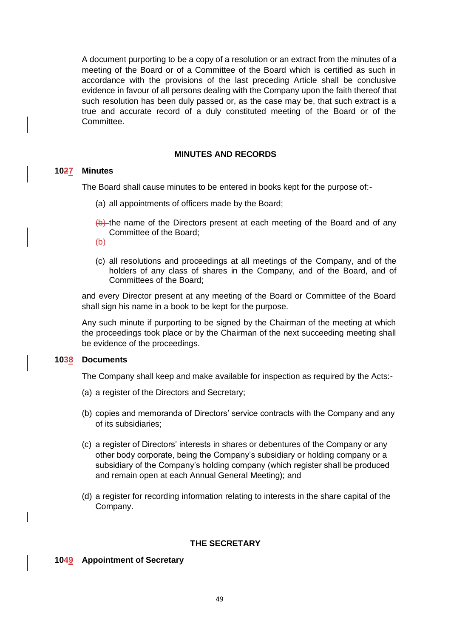A document purporting to be a copy of a resolution or an extract from the minutes of a meeting of the Board or of a Committee of the Board which is certified as such in accordance with the provisions of the last preceding Article shall be conclusive evidence in favour of all persons dealing with the Company upon the faith thereof that such resolution has been duly passed or, as the case may be, that such extract is a true and accurate record of a duly constituted meeting of the Board or of the Committee.

### **MINUTES AND RECORDS**

#### **1027 Minutes**

The Board shall cause minutes to be entered in books kept for the purpose of:-

- (a) all appointments of officers made by the Board;
- (b) the name of the Directors present at each meeting of the Board and of any Committee of the Board;
- (b)
- (c) all resolutions and proceedings at all meetings of the Company, and of the holders of any class of shares in the Company, and of the Board, and of Committees of the Board;

and every Director present at any meeting of the Board or Committee of the Board shall sign his name in a book to be kept for the purpose.

Any such minute if purporting to be signed by the Chairman of the meeting at which the proceedings took place or by the Chairman of the next succeeding meeting shall be evidence of the proceedings.

## **1038 Documents**

The Company shall keep and make available for inspection as required by the Acts:-

- (a) a register of the Directors and Secretary;
- (b) copies and memoranda of Directors' service contracts with the Company and any of its subsidiaries;
- (c) a register of Directors' interests in shares or debentures of the Company or any other body corporate, being the Company's subsidiary or holding company or a subsidiary of the Company's holding company (which register shall be produced and remain open at each Annual General Meeting); and
- (d) a register for recording information relating to interests in the share capital of the Company.

## **THE SECRETARY**

## **1049 Appointment of Secretary**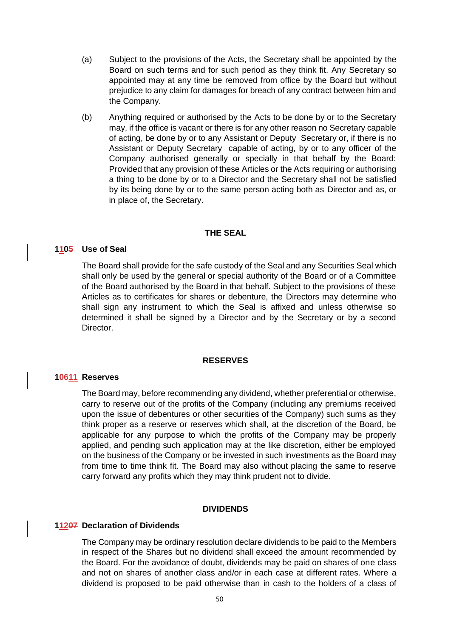- (a) Subject to the provisions of the Acts, the Secretary shall be appointed by the Board on such terms and for such period as they think fit. Any Secretary so appointed may at any time be removed from office by the Board but without prejudice to any claim for damages for breach of any contract between him and the Company.
- (b) Anything required or authorised by the Acts to be done by or to the Secretary may, if the office is vacant or there is for any other reason no Secretary capable of acting, be done by or to any Assistant or Deputy Secretary or, if there is no Assistant or Deputy Secretary capable of acting, by or to any officer of the Company authorised generally or specially in that behalf by the Board: Provided that any provision of these Articles or the Acts requiring or authorising a thing to be done by or to a Director and the Secretary shall not be satisfied by its being done by or to the same person acting both as Director and as, or in place of, the Secretary.

### **THE SEAL**

#### **1105 Use of Seal**

The Board shall provide for the safe custody of the Seal and any Securities Seal which shall only be used by the general or special authority of the Board or of a Committee of the Board authorised by the Board in that behalf. Subject to the provisions of these Articles as to certificates for shares or debenture, the Directors may determine who shall sign any instrument to which the Seal is affixed and unless otherwise so determined it shall be signed by a Director and by the Secretary or by a second Director.

#### **RESERVES**

### **10611 Reserves**

The Board may, before recommending any dividend, whether preferential or otherwise, carry to reserve out of the profits of the Company (including any premiums received upon the issue of debentures or other securities of the Company) such sums as they think proper as a reserve or reserves which shall, at the discretion of the Board, be applicable for any purpose to which the profits of the Company may be properly applied, and pending such application may at the like discretion, either be employed on the business of the Company or be invested in such investments as the Board may from time to time think fit. The Board may also without placing the same to reserve carry forward any profits which they may think prudent not to divide.

#### **DIVIDENDS**

#### **11207 Declaration of Dividends**

The Company may be ordinary resolution declare dividends to be paid to the Members in respect of the Shares but no dividend shall exceed the amount recommended by the Board. For the avoidance of doubt, dividends may be paid on shares of one class and not on shares of another class and/or in each case at different rates. Where a dividend is proposed to be paid otherwise than in cash to the holders of a class of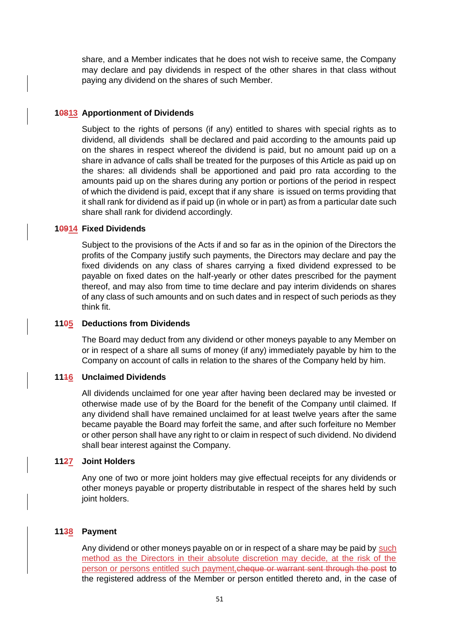share, and a Member indicates that he does not wish to receive same, the Company may declare and pay dividends in respect of the other shares in that class without paying any dividend on the shares of such Member.

### **10813 Apportionment of Dividends**

Subject to the rights of persons (if any) entitled to shares with special rights as to dividend, all dividends shall be declared and paid according to the amounts paid up on the shares in respect whereof the dividend is paid, but no amount paid up on a share in advance of calls shall be treated for the purposes of this Article as paid up on the shares: all dividends shall be apportioned and paid pro rata according to the amounts paid up on the shares during any portion or portions of the period in respect of which the dividend is paid, except that if any share is issued on terms providing that it shall rank for dividend as if paid up (in whole or in part) as from a particular date such share shall rank for dividend accordingly.

## **10914 Fixed Dividends**

Subject to the provisions of the Acts if and so far as in the opinion of the Directors the profits of the Company justify such payments, the Directors may declare and pay the fixed dividends on any class of shares carrying a fixed dividend expressed to be payable on fixed dates on the half-yearly or other dates prescribed for the payment thereof, and may also from time to time declare and pay interim dividends on shares of any class of such amounts and on such dates and in respect of such periods as they think fit.

### **1105 Deductions from Dividends**

The Board may deduct from any dividend or other moneys payable to any Member on or in respect of a share all sums of money (if any) immediately payable by him to the Company on account of calls in relation to the shares of the Company held by him.

#### **1116 Unclaimed Dividends**

All dividends unclaimed for one year after having been declared may be invested or otherwise made use of by the Board for the benefit of the Company until claimed. If any dividend shall have remained unclaimed for at least twelve years after the same became payable the Board may forfeit the same, and after such forfeiture no Member or other person shall have any right to or claim in respect of such dividend. No dividend shall bear interest against the Company.

#### **1127 Joint Holders**

Any one of two or more joint holders may give effectual receipts for any dividends or other moneys payable or property distributable in respect of the shares held by such joint holders.

## **1138 Payment**

Any dividend or other moneys payable on or in respect of a share may be paid by such method as the Directors in their absolute discretion may decide, at the risk of the person or persons entitled such payment, cheque or warrant sent through the post to the registered address of the Member or person entitled thereto and, in the case of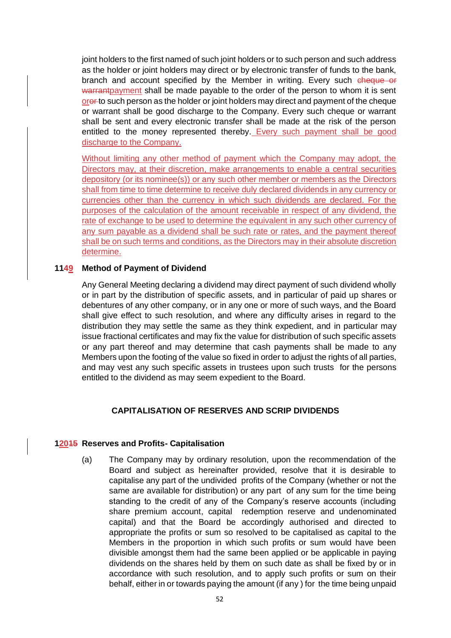joint holders to the first named of such joint holders or to such person and such address as the holder or joint holders may direct or by electronic transfer of funds to the bank, branch and account specified by the Member in writing. Every such cheque or warrantpayment shall be made payable to the order of the person to whom it is sent ore to such person as the holder or joint holders may direct and payment of the cheque or warrant shall be good discharge to the Company. Every such cheque or warrant shall be sent and every electronic transfer shall be made at the risk of the person entitled to the money represented thereby. Every such payment shall be good discharge to the Company.

Without limiting any other method of payment which the Company may adopt, the Directors may, at their discretion, make arrangements to enable a central securities depository (or its nominee(s)) or any such other member or members as the Directors shall from time to time determine to receive duly declared dividends in any currency or currencies other than the currency in which such dividends are declared. For the purposes of the calculation of the amount receivable in respect of any dividend, the rate of exchange to be used to determine the equivalent in any such other currency of any sum payable as a dividend shall be such rate or rates, and the payment thereof shall be on such terms and conditions, as the Directors may in their absolute discretion determine.

### **1149 Method of Payment of Dividend**

Any General Meeting declaring a dividend may direct payment of such dividend wholly or in part by the distribution of specific assets, and in particular of paid up shares or debentures of any other company, or in any one or more of such ways, and the Board shall give effect to such resolution, and where any difficulty arises in regard to the distribution they may settle the same as they think expedient, and in particular may issue fractional certificates and may fix the value for distribution of such specific assets or any part thereof and may determine that cash payments shall be made to any Members upon the footing of the value so fixed in order to adjust the rights of all parties, and may vest any such specific assets in trustees upon such trusts for the persons entitled to the dividend as may seem expedient to the Board.

## **CAPITALISATION OF RESERVES AND SCRIP DIVIDENDS**

## **12015 Reserves and Profits- Capitalisation**

(a) The Company may by ordinary resolution, upon the recommendation of the Board and subject as hereinafter provided, resolve that it is desirable to capitalise any part of the undivided profits of the Company (whether or not the same are available for distribution) or any part of any sum for the time being standing to the credit of any of the Company's reserve accounts (including share premium account, capital redemption reserve and undenominated capital) and that the Board be accordingly authorised and directed to appropriate the profits or sum so resolved to be capitalised as capital to the Members in the proportion in which such profits or sum would have been divisible amongst them had the same been applied or be applicable in paying dividends on the shares held by them on such date as shall be fixed by or in accordance with such resolution, and to apply such profits or sum on their behalf, either in or towards paying the amount (if any ) for the time being unpaid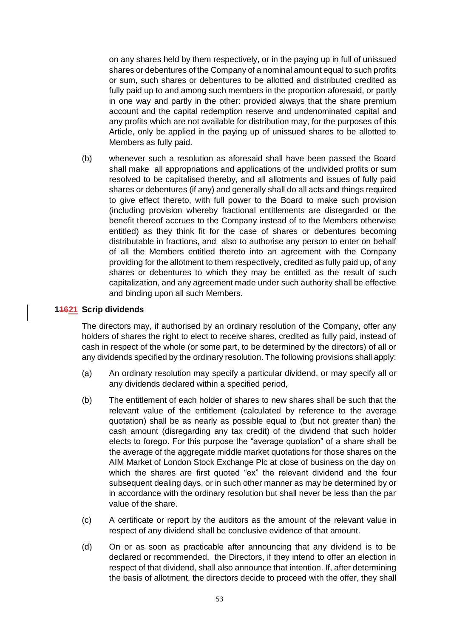on any shares held by them respectively, or in the paying up in full of unissued shares or debentures of the Company of a nominal amount equal to such profits or sum, such shares or debentures to be allotted and distributed credited as fully paid up to and among such members in the proportion aforesaid, or partly in one way and partly in the other: provided always that the share premium account and the capital redemption reserve and undenominated capital and any profits which are not available for distribution may, for the purposes of this Article, only be applied in the paying up of unissued shares to be allotted to Members as fully paid.

(b) whenever such a resolution as aforesaid shall have been passed the Board shall make all appropriations and applications of the undivided profits or sum resolved to be capitalised thereby, and all allotments and issues of fully paid shares or debentures (if any) and generally shall do all acts and things required to give effect thereto, with full power to the Board to make such provision (including provision whereby fractional entitlements are disregarded or the benefit thereof accrues to the Company instead of to the Members otherwise entitled) as they think fit for the case of shares or debentures becoming distributable in fractions, and also to authorise any person to enter on behalf of all the Members entitled thereto into an agreement with the Company providing for the allotment to them respectively, credited as fully paid up, of any shares or debentures to which they may be entitled as the result of such capitalization, and any agreement made under such authority shall be effective and binding upon all such Members.

### **11621 Scrip dividends**

The directors may, if authorised by an ordinary resolution of the Company, offer any holders of shares the right to elect to receive shares, credited as fully paid, instead of cash in respect of the whole (or some part, to be determined by the directors) of all or any dividends specified by the ordinary resolution. The following provisions shall apply:

- (a) An ordinary resolution may specify a particular dividend, or may specify all or any dividends declared within a specified period,
- (b) The entitlement of each holder of shares to new shares shall be such that the relevant value of the entitlement (calculated by reference to the average quotation) shall be as nearly as possible equal to (but not greater than) the cash amount (disregarding any tax credit) of the dividend that such holder elects to forego. For this purpose the "average quotation" of a share shall be the average of the aggregate middle market quotations for those shares on the AIM Market of London Stock Exchange Plc at close of business on the day on which the shares are first quoted "ex" the relevant dividend and the four subsequent dealing days, or in such other manner as may be determined by or in accordance with the ordinary resolution but shall never be less than the par value of the share.
- (c) A certificate or report by the auditors as the amount of the relevant value in respect of any dividend shall be conclusive evidence of that amount.
- (d) On or as soon as practicable after announcing that any dividend is to be declared or recommended, the Directors, if they intend to offer an election in respect of that dividend, shall also announce that intention. If, after determining the basis of allotment, the directors decide to proceed with the offer, they shall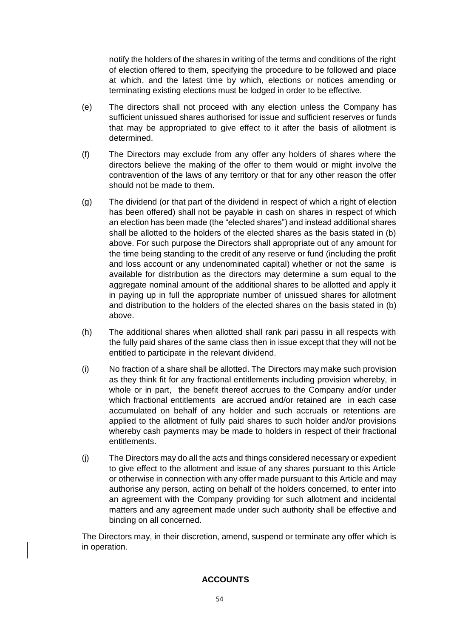notify the holders of the shares in writing of the terms and conditions of the right of election offered to them, specifying the procedure to be followed and place at which, and the latest time by which, elections or notices amending or terminating existing elections must be lodged in order to be effective.

- (e) The directors shall not proceed with any election unless the Company has sufficient unissued shares authorised for issue and sufficient reserves or funds that may be appropriated to give effect to it after the basis of allotment is determined.
- (f) The Directors may exclude from any offer any holders of shares where the directors believe the making of the offer to them would or might involve the contravention of the laws of any territory or that for any other reason the offer should not be made to them.
- (g) The dividend (or that part of the dividend in respect of which a right of election has been offered) shall not be payable in cash on shares in respect of which an election has been made (the "elected shares") and instead additional shares shall be allotted to the holders of the elected shares as the basis stated in (b) above. For such purpose the Directors shall appropriate out of any amount for the time being standing to the credit of any reserve or fund (including the profit and loss account or any undenominated capital) whether or not the same is available for distribution as the directors may determine a sum equal to the aggregate nominal amount of the additional shares to be allotted and apply it in paying up in full the appropriate number of unissued shares for allotment and distribution to the holders of the elected shares on the basis stated in (b) above.
- (h) The additional shares when allotted shall rank pari passu in all respects with the fully paid shares of the same class then in issue except that they will not be entitled to participate in the relevant dividend.
- (i) No fraction of a share shall be allotted. The Directors may make such provision as they think fit for any fractional entitlements including provision whereby, in whole or in part, the benefit thereof accrues to the Company and/or under which fractional entitlements are accrued and/or retained are in each case accumulated on behalf of any holder and such accruals or retentions are applied to the allotment of fully paid shares to such holder and/or provisions whereby cash payments may be made to holders in respect of their fractional entitlements.
- (j) The Directors may do all the acts and things considered necessary or expedient to give effect to the allotment and issue of any shares pursuant to this Article or otherwise in connection with any offer made pursuant to this Article and may authorise any person, acting on behalf of the holders concerned, to enter into an agreement with the Company providing for such allotment and incidental matters and any agreement made under such authority shall be effective and binding on all concerned.

The Directors may, in their discretion, amend, suspend or terminate any offer which is in operation.

# **ACCOUNTS**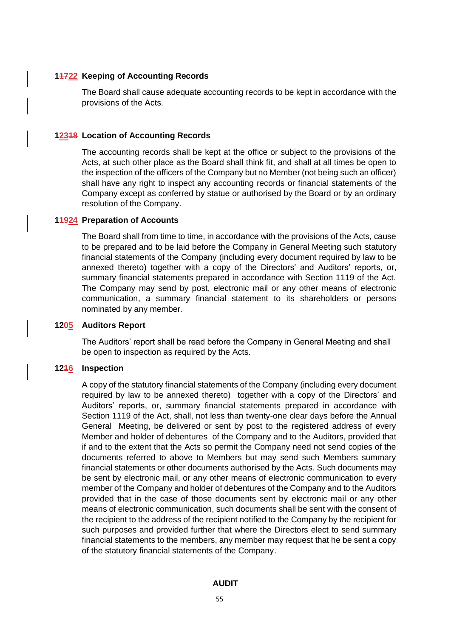### **11722 Keeping of Accounting Records**

The Board shall cause adequate accounting records to be kept in accordance with the provisions of the Acts.

### **12318 Location of Accounting Records**

The accounting records shall be kept at the office or subject to the provisions of the Acts, at such other place as the Board shall think fit, and shall at all times be open to the inspection of the officers of the Company but no Member (not being such an officer) shall have any right to inspect any accounting records or financial statements of the Company except as conferred by statue or authorised by the Board or by an ordinary resolution of the Company.

#### **11924 Preparation of Accounts**

The Board shall from time to time, in accordance with the provisions of the Acts, cause to be prepared and to be laid before the Company in General Meeting such statutory financial statements of the Company (including every document required by law to be annexed thereto) together with a copy of the Directors' and Auditors' reports, or, summary financial statements prepared in accordance with Section 1119 of the Act. The Company may send by post, electronic mail or any other means of electronic communication, a summary financial statement to its shareholders or persons nominated by any member.

#### **1205 Auditors Report**

The Auditors' report shall be read before the Company in General Meeting and shall be open to inspection as required by the Acts.

#### **1216 Inspection**

A copy of the statutory financial statements of the Company (including every document required by law to be annexed thereto) together with a copy of the Directors' and Auditors' reports, or, summary financial statements prepared in accordance with Section 1119 of the Act, shall, not less than twenty-one clear days before the Annual General Meeting, be delivered or sent by post to the registered address of every Member and holder of debentures of the Company and to the Auditors, provided that if and to the extent that the Acts so permit the Company need not send copies of the documents referred to above to Members but may send such Members summary financial statements or other documents authorised by the Acts. Such documents may be sent by electronic mail, or any other means of electronic communication to every member of the Company and holder of debentures of the Company and to the Auditors provided that in the case of those documents sent by electronic mail or any other means of electronic communication, such documents shall be sent with the consent of the recipient to the address of the recipient notified to the Company by the recipient for such purposes and provided further that where the Directors elect to send summary financial statements to the members, any member may request that he be sent a copy of the statutory financial statements of the Company.

### **AUDIT**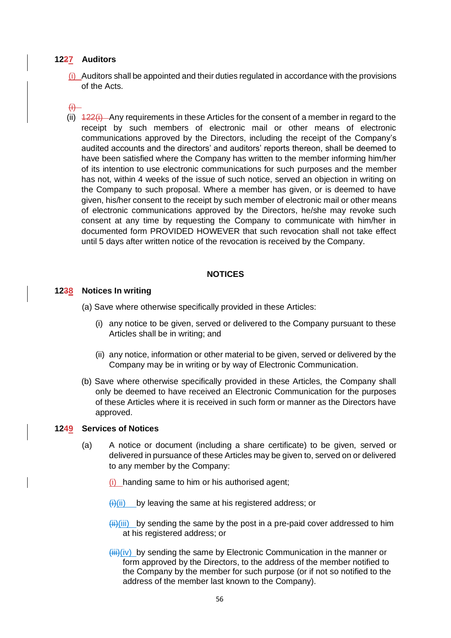## **1227 Auditors**

 $(i)$  Auditors shall be appointed and their duties regulated in accordance with the provisions of the Acts.

### $f$ <sup> $\leftrightarrow$ </sup>

(ii)  $\frac{422(i)}{i}$  Any requirements in these Articles for the consent of a member in regard to the receipt by such members of electronic mail or other means of electronic communications approved by the Directors, including the receipt of the Company's audited accounts and the directors' and auditors' reports thereon, shall be deemed to have been satisfied where the Company has written to the member informing him/her of its intention to use electronic communications for such purposes and the member has not, within 4 weeks of the issue of such notice, served an objection in writing on the Company to such proposal. Where a member has given, or is deemed to have given, his/her consent to the receipt by such member of electronic mail or other means of electronic communications approved by the Directors, he/she may revoke such consent at any time by requesting the Company to communicate with him/her in documented form PROVIDED HOWEVER that such revocation shall not take effect until 5 days after written notice of the revocation is received by the Company.

#### **NOTICES**

#### **1238 Notices In writing**

- (a) Save where otherwise specifically provided in these Articles:
	- (i) any notice to be given, served or delivered to the Company pursuant to these Articles shall be in writing; and
	- (ii) any notice, information or other material to be given, served or delivered by the Company may be in writing or by way of Electronic Communication.
- (b) Save where otherwise specifically provided in these Articles, the Company shall only be deemed to have received an Electronic Communication for the purposes of these Articles where it is received in such form or manner as the Directors have approved.

#### **1249 Services of Notices**

- (a) A notice or document (including a share certificate) to be given, served or delivered in pursuance of these Articles may be given to, served on or delivered to any member by the Company:
	- (i) handing same to him or his authorised agent;
	- $\overline{H}(ii)$  by leaving the same at his registered address; or
	- $\frac{\text{iii}}{\text{iii}}$  by sending the same by the post in a pre-paid cover addressed to him at his registered address; or
	- $\langle \hat{i} \hat{j} \hat{k} \hat{k} \rangle$  by sending the same by Electronic Communication in the manner or form approved by the Directors, to the address of the member notified to the Company by the member for such purpose (or if not so notified to the address of the member last known to the Company).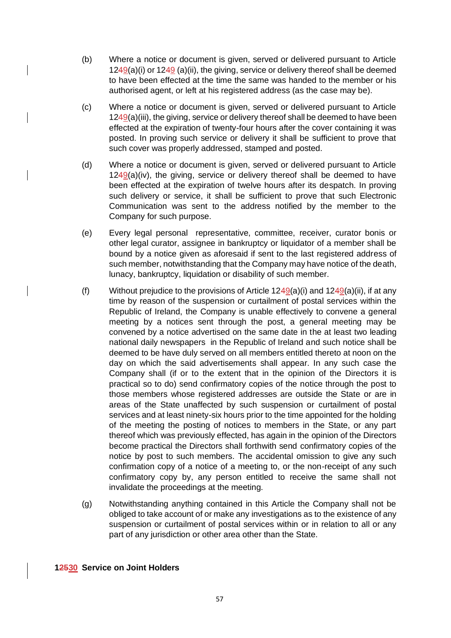- (b) Where a notice or document is given, served or delivered pursuant to Article  $1249(a)(i)$  or  $1249(a)(ii)$ , the giving, service or delivery thereof shall be deemed to have been effected at the time the same was handed to the member or his authorised agent, or left at his registered address (as the case may be).
- (c) Where a notice or document is given, served or delivered pursuant to Article 1249(a)(iii), the giving, service or delivery thereof shall be deemed to have been effected at the expiration of twenty-four hours after the cover containing it was posted. In proving such service or delivery it shall be sufficient to prove that such cover was properly addressed, stamped and posted.
- (d) Where a notice or document is given, served or delivered pursuant to Article  $1249(a)(iv)$ , the giving, service or delivery thereof shall be deemed to have been effected at the expiration of twelve hours after its despatch. In proving such delivery or service, it shall be sufficient to prove that such Electronic Communication was sent to the address notified by the member to the Company for such purpose.
- (e) Every legal personal representative, committee, receiver, curator bonis or other legal curator, assignee in bankruptcy or liquidator of a member shall be bound by a notice given as aforesaid if sent to the last registered address of such member, notwithstanding that the Company may have notice of the death, lunacy, bankruptcy, liquidation or disability of such member.
- (f) Without prejudice to the provisions of Article  $1249(a)(i)$  and  $1249(a)(ii)$ , if at any time by reason of the suspension or curtailment of postal services within the Republic of Ireland, the Company is unable effectively to convene a general meeting by a notices sent through the post, a general meeting may be convened by a notice advertised on the same date in the at least two leading national daily newspapers in the Republic of Ireland and such notice shall be deemed to be have duly served on all members entitled thereto at noon on the day on which the said advertisements shall appear. In any such case the Company shall (if or to the extent that in the opinion of the Directors it is practical so to do) send confirmatory copies of the notice through the post to those members whose registered addresses are outside the State or are in areas of the State unaffected by such suspension or curtailment of postal services and at least ninety-six hours prior to the time appointed for the holding of the meeting the posting of notices to members in the State, or any part thereof which was previously effected, has again in the opinion of the Directors become practical the Directors shall forthwith send confirmatory copies of the notice by post to such members. The accidental omission to give any such confirmation copy of a notice of a meeting to, or the non-receipt of any such confirmatory copy by, any person entitled to receive the same shall not invalidate the proceedings at the meeting.
- (g) Notwithstanding anything contained in this Article the Company shall not be obliged to take account of or make any investigations as to the existence of any suspension or curtailment of postal services within or in relation to all or any part of any jurisdiction or other area other than the State.

## **12530 Service on Joint Holders**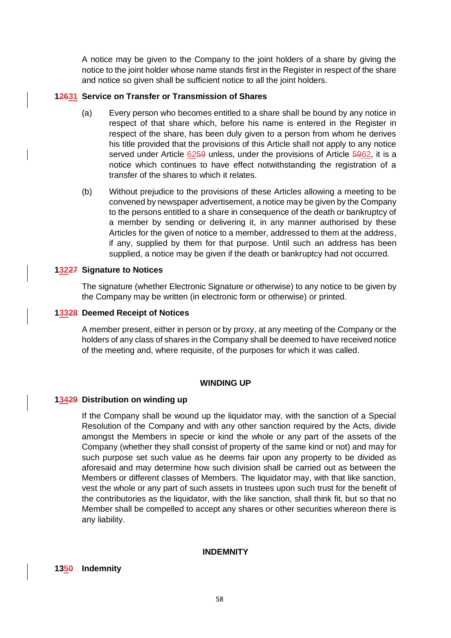A notice may be given to the Company to the joint holders of a share by giving the notice to the joint holder whose name stands first in the Register in respect of the share and notice so given shall be sufficient notice to all the joint holders.

### **12631 Service on Transfer or Transmission of Shares**

- (a) Every person who becomes entitled to a share shall be bound by any notice in respect of that share which, before his name is entered in the Register in respect of the share, has been duly given to a person from whom he derives his title provided that the provisions of this Article shall not apply to any notice served under Article 6259 unless, under the provisions of Article 5962, it is a notice which continues to have effect notwithstanding the registration of a transfer of the shares to which it relates.
- (b) Without prejudice to the provisions of these Articles allowing a meeting to be convened by newspaper advertisement, a notice may be given by the Company to the persons entitled to a share in consequence of the death or bankruptcy of a member by sending or delivering it, in any manner authorised by these Articles for the given of notice to a member, addressed to them at the address, if any, supplied by them for that purpose. Until such an address has been supplied, a notice may be given if the death or bankruptcy had not occurred.

### **13227 Signature to Notices**

The signature (whether Electronic Signature or otherwise) to any notice to be given by the Company may be written (in electronic form or otherwise) or printed.

#### **13328 Deemed Receipt of Notices**

A member present, either in person or by proxy, at any meeting of the Company or the holders of any class of shares in the Company shall be deemed to have received notice of the meeting and, where requisite, of the purposes for which it was called.

### **WINDING UP**

#### **13429 Distribution on winding up**

If the Company shall be wound up the liquidator may, with the sanction of a Special Resolution of the Company and with any other sanction required by the Acts, divide amongst the Members in specie or kind the whole or any part of the assets of the Company (whether they shall consist of property of the same kind or not) and may for such purpose set such value as he deems fair upon any property to be divided as aforesaid and may determine how such division shall be carried out as between the Members or different classes of Members. The liquidator may, with that like sanction, vest the whole or any part of such assets in trustees upon such trust for the benefit of the contributories as the liquidator, with the like sanction, shall think fit, but so that no Member shall be compelled to accept any shares or other securities whereon there is any liability.

#### **INDEMNITY**

### **1350 Indemnity**